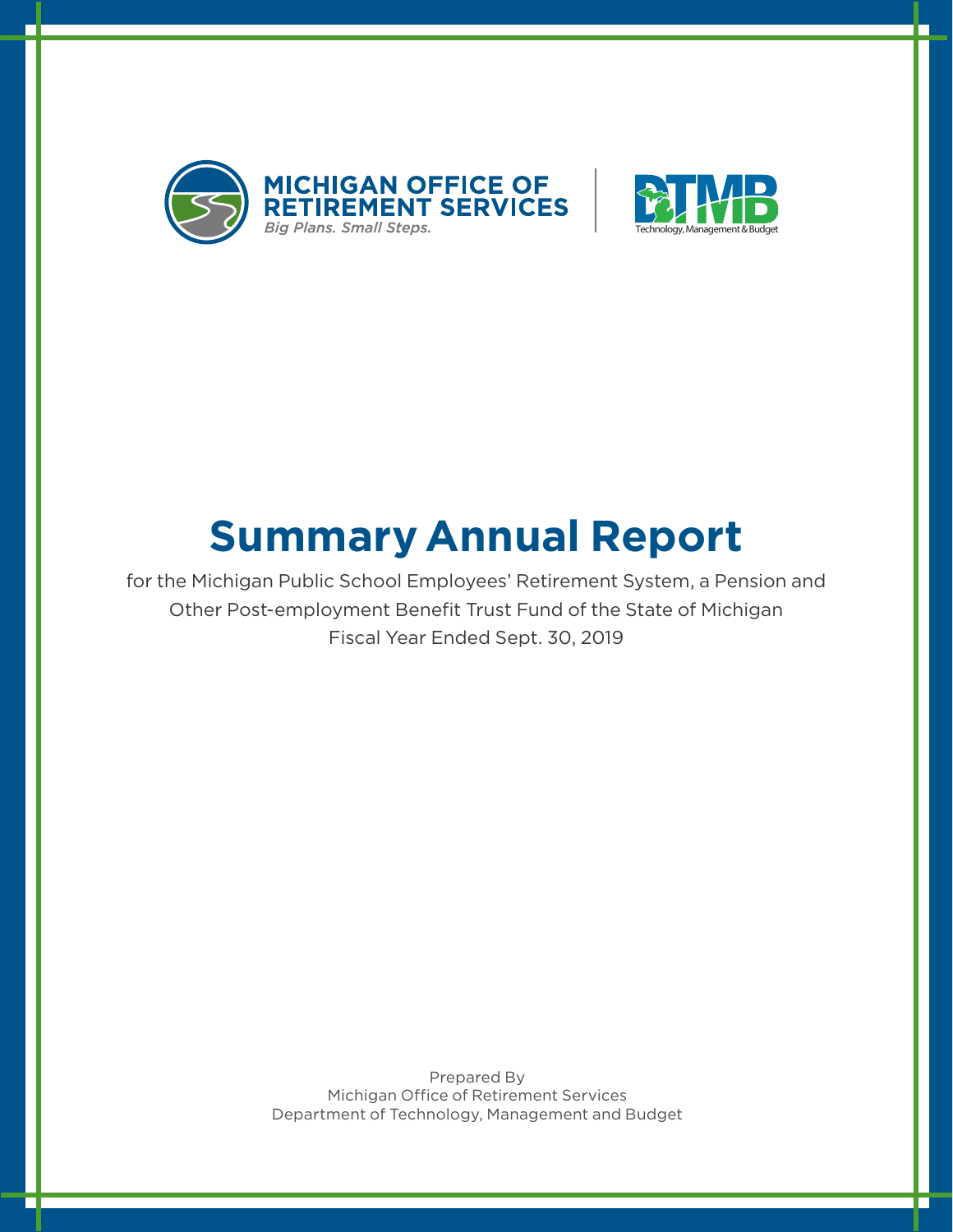



# **Summary Annual Report**

for the Michigan Public School Employees' Retirement System, a Pension and Other Post-employment Benefit Trust Fund of the State of Michigan Fiscal Year Ended Sept. 30, 2019

> Prepared By Michigan Office of Retirement Services Department of Technology, Management and Budget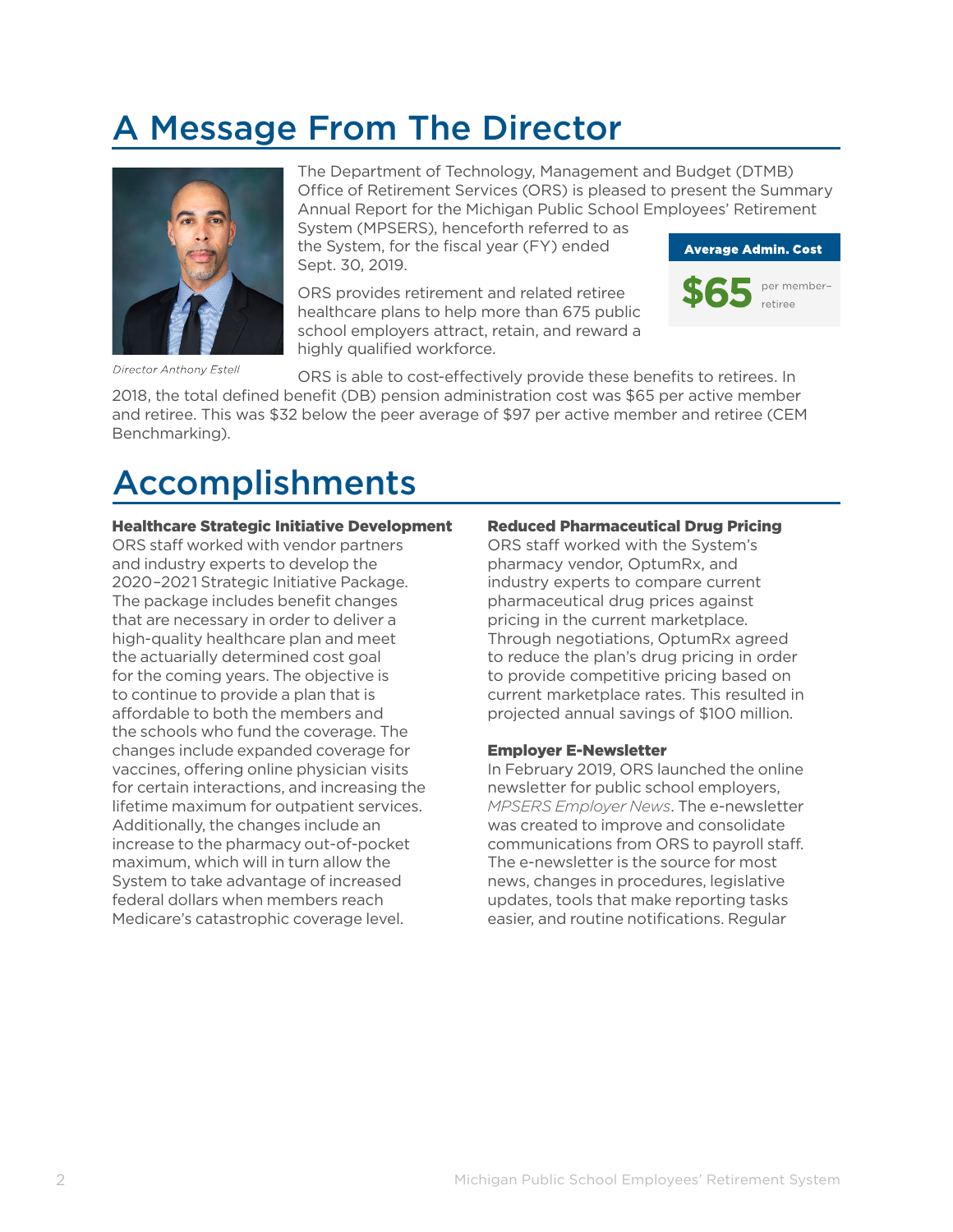### A Message From The Director



Director Anthony Estell

The Department of Technology, Management and Budget (DTMB) Office of Retirement Services (ORS) is pleased to present the Summary Annual Report for the Michigan Public School Employees' Retirement System (MPSERS), henceforth referred to as

the System, for the fiscal year (FY) ended Sept. 30, 2019.

ORS provides retirement and related retiree healthcare plans to help more than 675 public school employers attract, retain, and reward a highly qualified workforce.



ORS is able to cost-effectively provide these benefits to retirees. In

2018, the total defined benefit (DB) pension administration cost was \$65 per active member and retiree. This was \$32 below the peer average of \$97 per active member and retiree (CEM Benchmarking).

### Accomplishments

#### Healthcare Strategic Initiative Development

ORS staff worked with vendor partners and industry experts to develop the 2020–2021 Strategic Initiative Package. The package includes benefit changes that are necessary in order to deliver a high-quality healthcare plan and meet the actuarially determined cost goal for the coming years. The objective is to continue to provide a plan that is affordable to both the members and the schools who fund the coverage. The changes include expanded coverage for vaccines, offering online physician visits for certain interactions, and increasing the lifetime maximum for outpatient services. Additionally, the changes include an increase to the pharmacy out-of-pocket maximum, which will in turn allow the System to take advantage of increased federal dollars when members reach Medicare's catastrophic coverage level.

#### Reduced Pharmaceutical Drug Pricing

ORS staff worked with the System's pharmacy vendor, OptumRx, and industry experts to compare current pharmaceutical drug prices against pricing in the current marketplace. Through negotiations, OptumRx agreed to reduce the plan's drug pricing in order to provide competitive pricing based on current marketplace rates. This resulted in projected annual savings of \$100 million.

#### Employer E-Newsletter

In February 2019, ORS launched the online newsletter for public school employers, *MPSERS Employer News*. The e-newsletter was created to improve and consolidate communications from ORS to payroll staff. The e-newsletter is the source for most news, changes in procedures, legislative updates, tools that make reporting tasks easier, and routine notifications. Regular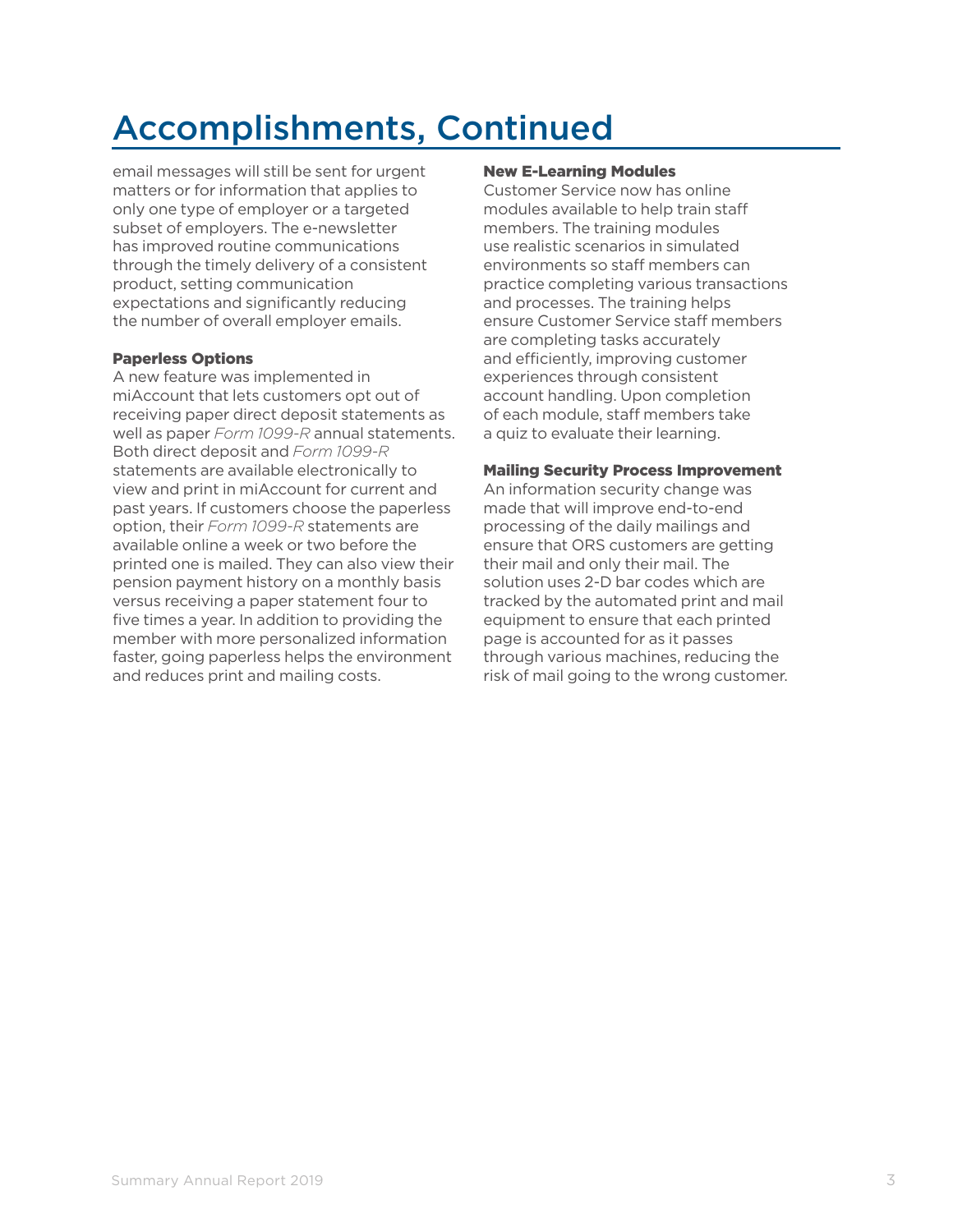## Accomplishments, Continued

email messages will still be sent for urgent matters or for information that applies to only one type of employer or a targeted subset of employers. The e-newsletter has improved routine communications through the timely delivery of a consistent product, setting communication expectations and significantly reducing the number of overall employer emails.

#### Paperless Options

A new feature was implemented in miAccount that lets customers opt out of receiving paper direct deposit statements as well as paper *Form 1099-R* annual statements. Both direct deposit and *Form 1099-R* statements are available electronically to view and print in miAccount for current and past years. If customers choose the paperless option, their *Form 1099-R* statements are available online a week or two before the printed one is mailed. They can also view their pension payment history on a monthly basis versus receiving a paper statement four to five times a year. In addition to providing the member with more personalized information faster, going paperless helps the environment and reduces print and mailing costs.

#### New E-Learning Modules

Customer Service now has online modules available to help train staff members. The training modules use realistic scenarios in simulated environments so staff members can practice completing various transactions and processes. The training helps ensure Customer Service staff members are completing tasks accurately and efficiently, improving customer experiences through consistent account handling. Upon completion of each module, staff members take a quiz to evaluate their learning.

#### Mailing Security Process Improvement

An information security change was made that will improve end-to-end processing of the daily mailings and ensure that ORS customers are getting their mail and only their mail. The solution uses 2-D bar codes which are tracked by the automated print and mail equipment to ensure that each printed page is accounted for as it passes through various machines, reducing the risk of mail going to the wrong customer.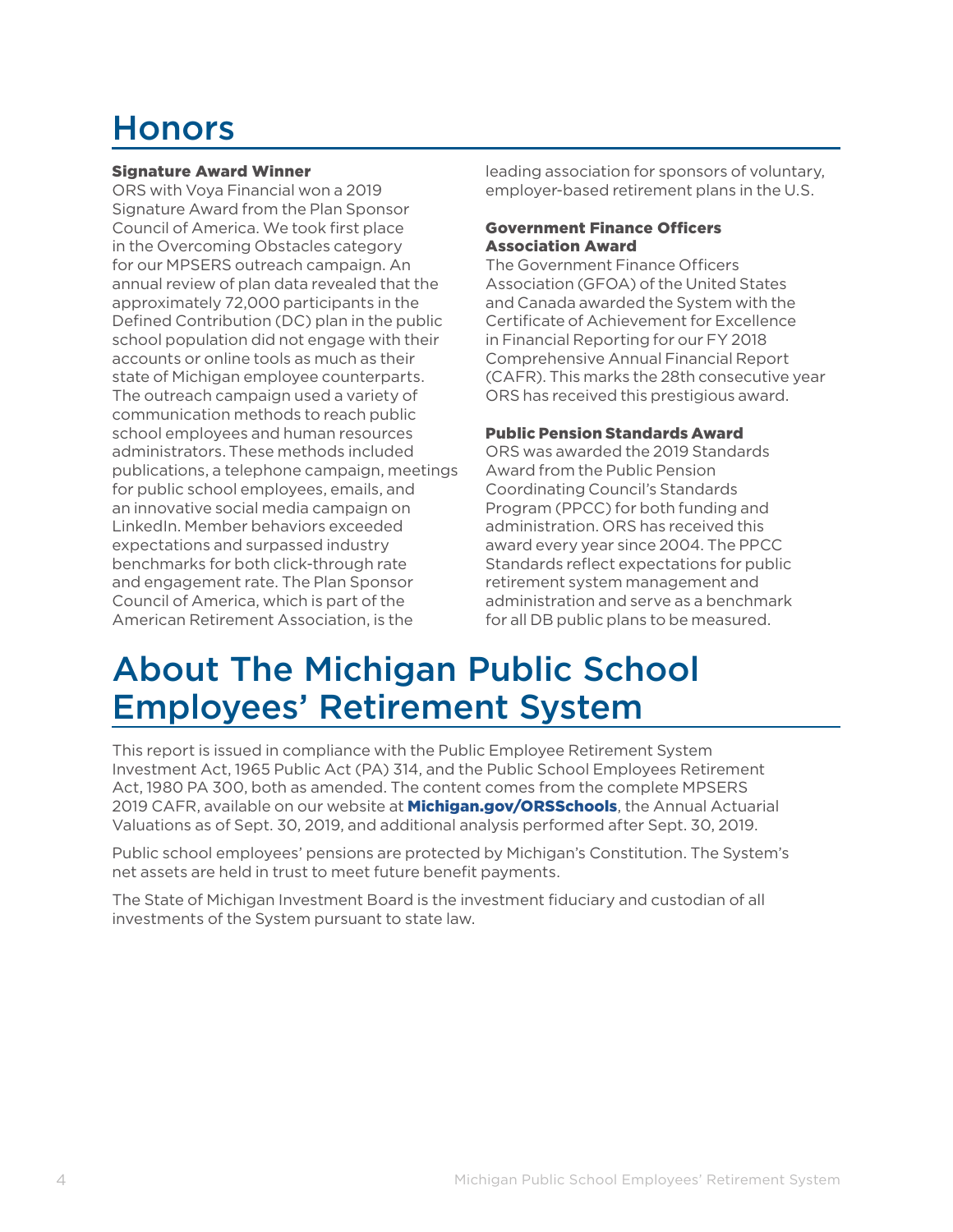### Honors

#### Signature Award Winner

ORS with Voya Financial won a 2019 Signature Award from the Plan Sponsor Council of America. We took first place in the Overcoming Obstacles category for our MPSERS outreach campaign. An annual review of plan data revealed that the approximately 72,000 participants in the Defined Contribution (DC) plan in the public school population did not engage with their accounts or online tools as much as their state of Michigan employee counterparts. The outreach campaign used a variety of communication methods to reach public school employees and human resources administrators. These methods included publications, a telephone campaign, meetings for public school employees, emails, and an innovative social media campaign on LinkedIn. Member behaviors exceeded expectations and surpassed industry benchmarks for both click-through rate and engagement rate. The Plan Sponsor Council of America, which is part of the American Retirement Association, is the

leading association for sponsors of voluntary, employer-based retirement plans in the U.S.

#### Government Finance Officers Association Award

The Government Finance Officers Association (GFOA) of the United States and Canada awarded the System with the Certificate of Achievement for Excellence in Financial Reporting for our FY 2018 Comprehensive Annual Financial Report (CAFR). This marks the 28th consecutive year ORS has received this prestigious award.

#### Public Pension Standards Award

ORS was awarded the 2019 Standards Award from the Public Pension Coordinating Council's Standards Program (PPCC) for both funding and administration. ORS has received this award every year since 2004. The PPCC Standards reflect expectations for public retirement system management and administration and serve as a benchmark for all DB public plans to be measured.

### About The Michigan Public School Employees' Retirement System

This report is issued in compliance with the Public Employee Retirement System Investment Act, 1965 Public Act (PA) 314, and the Public School Employees Retirement Act, 1980 PA 300, both as amended. The content comes from the complete MPSERS 2019 CAFR, available on our website at **Michigan.gov/ORSSchools**, the Annual Actuarial Valuations as of Sept. 30, 2019, and additional analysis performed after Sept. 30, 2019.

Public school employees' pensions are protected by Michigan's Constitution. The System's net assets are held in trust to meet future benefit payments.

The State of Michigan Investment Board is the investment fiduciary and custodian of all investments of the System pursuant to state law.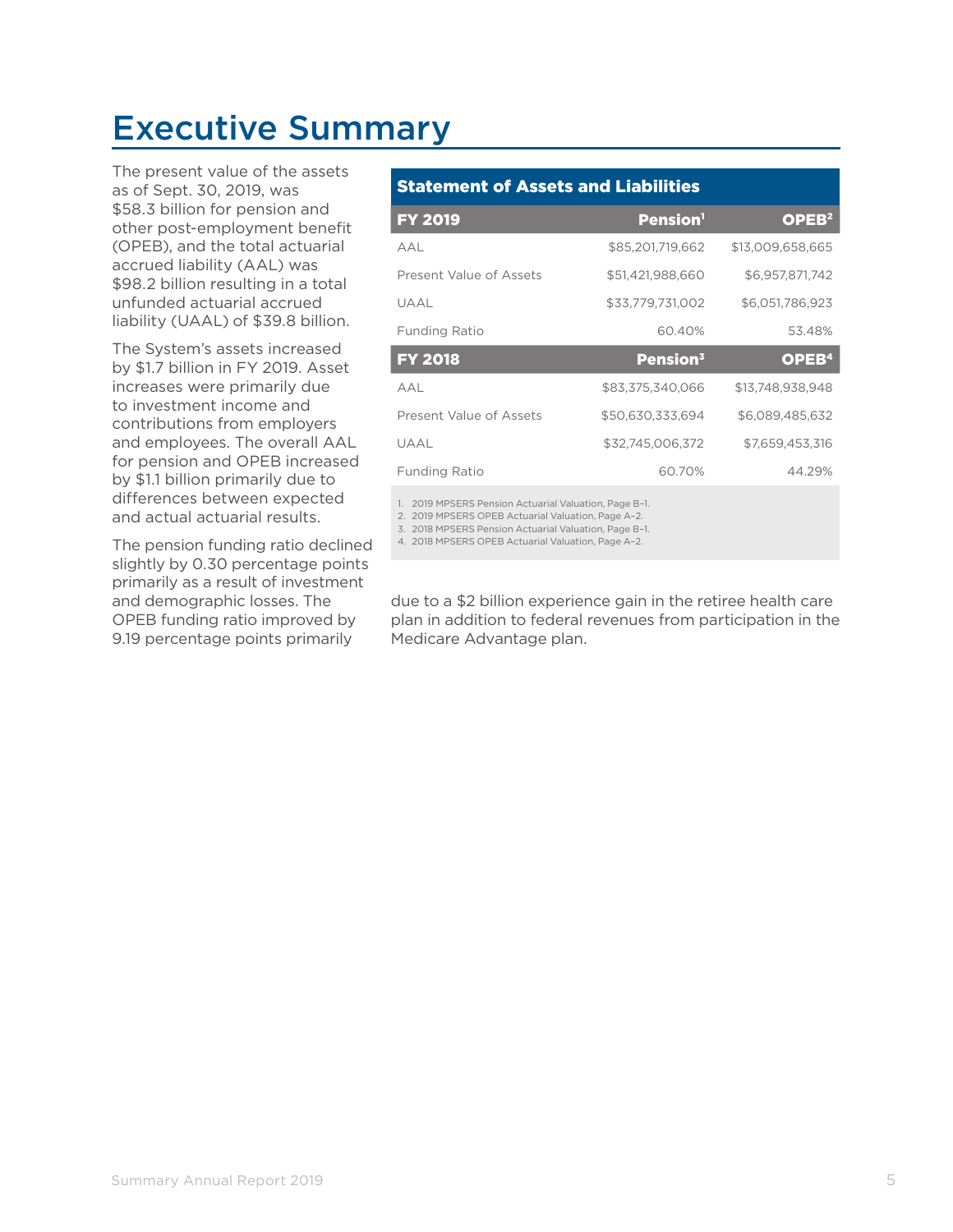### Executive Summary

The present value of the assets as of Sept. 30, 2019, was \$58.3 billion for pension and other post-employment benefit (OPEB), and the total actuarial accrued liability (AAL) was \$98.2 billion resulting in a total unfunded actuarial accrued liability (UAAL) of \$39.8 billion.

The System's assets increased by \$1.7 billion in FY 2019. Asset increases were primarily due to investment income and contributions from employers and employees. The overall AAL for pension and OPEB increased by \$1.1 billion primarily due to differences between expected and actual actuarial results.

The pension funding ratio declined slightly by 0.30 percentage points primarily as a result of investment and demographic losses. The OPEB funding ratio improved by 9.19 percentage points primarily

#### Statement of Assets and Liabilities

| <b>FY 2019</b>          | <b>Pension</b> <sup>1</sup> | OPEB <sup>2</sup> |
|-------------------------|-----------------------------|-------------------|
| A A I                   | \$85,201,719,662            | \$13,009,658,665  |
| Present Value of Assets | \$51,421,988,660            | \$6.957.871.742   |
| UAAL                    | \$33,779,731,002            | \$6,051,786,923   |
| <b>Funding Ratio</b>    | 60.40%                      | 53.48%            |
|                         |                             |                   |
| <b>FY 2018</b>          | Pension <sup>3</sup>        | OPEB <sup>4</sup> |
| AAL                     | \$83,375,340,066            | \$13,748,938,948  |
| Present Value of Assets | \$50,630,333,694            | \$6,089,485,632   |
| UAAL                    | \$32,745,006,372            | \$7,659,453,316   |
| <b>Funding Ratio</b>    | 60.70%                      | 44.29%            |

1. 2019 MPSERS Pension Actuarial Valuation, Page B–1.

2. 2019 MPSERS OPEB Actuarial Valuation, Page A–2. 3. 2018 MPSERS Pension Actuarial Valuation, Page B–1.

4. 2018 MPSERS OPEB Actuarial Valuation, Page A–2.

due to a \$2 billion experience gain in the retiree health care plan in addition to federal revenues from participation in the Medicare Advantage plan.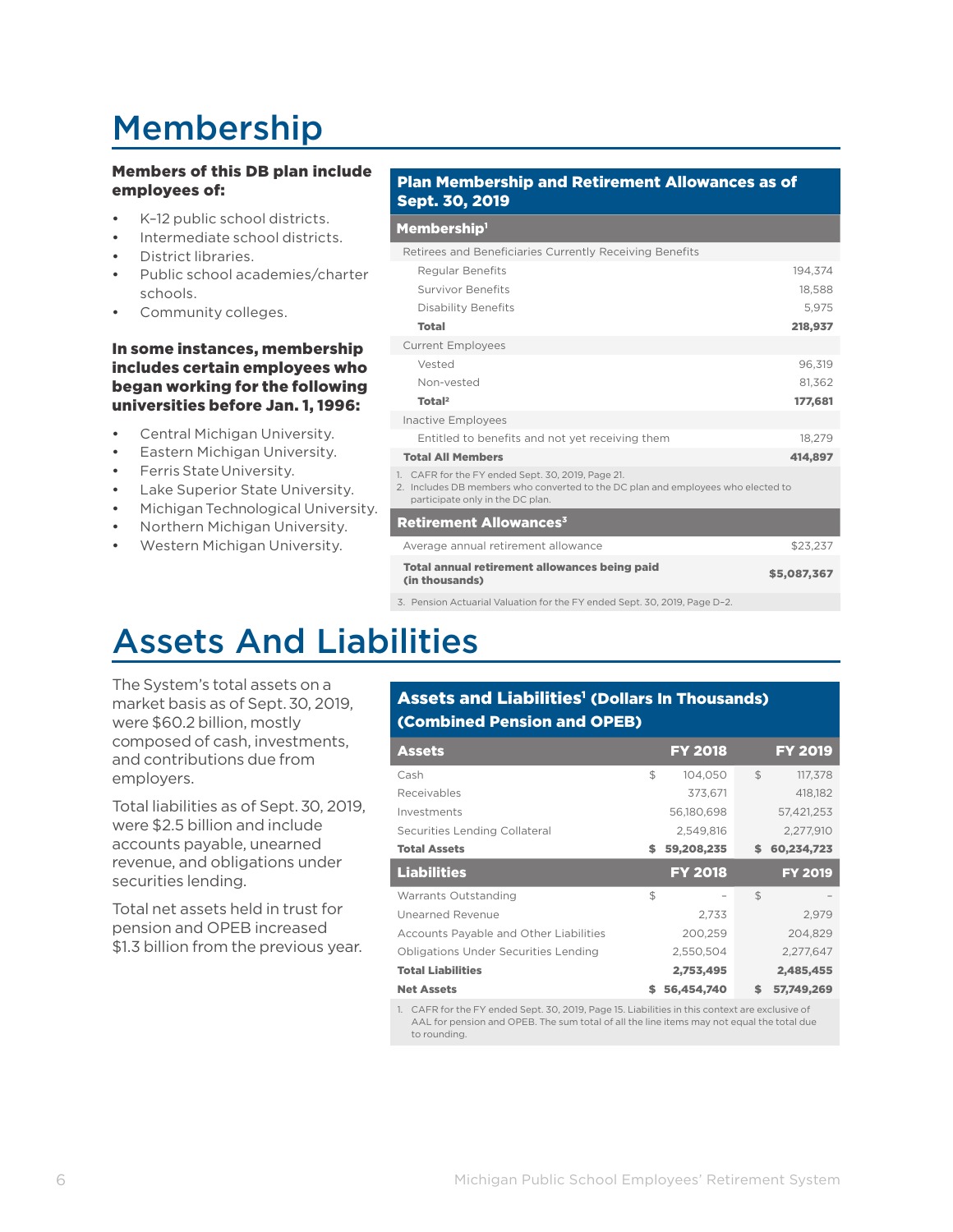## Membership

#### Members of this DB plan include employees of:

- K–12 public school districts.
- Intermediate school districts.
- District libraries.
- Public school academies/charter schools.
- Community colleges.

#### In some instances, membership includes certain employees who began working for the following universities before Jan. 1, 1996:

- Central Michigan University.
- Eastern Michigan University.
- Ferris State University.
- Lake Superior State University.
- Michigan Technological University.
- Northern Michigan University.
- Western Michigan University.

#### Plan Membership and Retirement Allowances as of Sept. 30, 2019

#### Membership<sup>1</sup>

| ______________                                                                                                                                                            |             |
|---------------------------------------------------------------------------------------------------------------------------------------------------------------------------|-------------|
| Retirees and Beneficiaries Currently Receiving Benefits                                                                                                                   |             |
| <b>Regular Benefits</b>                                                                                                                                                   | 194.374     |
| <b>Survivor Benefits</b>                                                                                                                                                  | 18.588      |
| <b>Disability Benefits</b>                                                                                                                                                | 5.975       |
| <b>Total</b>                                                                                                                                                              | 218,937     |
| <b>Current Employees</b>                                                                                                                                                  |             |
| Vested                                                                                                                                                                    | 96,319      |
| Non-vested                                                                                                                                                                | 81.362      |
| Total <sup>2</sup>                                                                                                                                                        | 177,681     |
| <b>Inactive Employees</b>                                                                                                                                                 |             |
| Entitled to benefits and not yet receiving them                                                                                                                           | 18,279      |
| <b>Total All Members</b>                                                                                                                                                  | 414,897     |
| 1. CAFR for the FY ended Sept. 30, 2019, Page 21.<br>2. Includes DB members who converted to the DC plan and employees who elected to<br>participate only in the DC plan. |             |
| <b>Retirement Allowances<sup>3</sup></b>                                                                                                                                  |             |
| Average annual retirement allowance                                                                                                                                       | \$23,237    |
| <b>Total annual retirement allowances being paid</b><br>(in thousands)                                                                                                    | \$5,087,367 |
|                                                                                                                                                                           |             |

3. Pension Actuarial Valuation for the FY ended Sept. 30, 2019, Page D–2.

### Assets And Liabilities

The System's total assets on a market basis as of Sept.30, 2019, were \$60.2 billion, mostly composed of cash, investments, and contributions due from employers.

Total liabilities as of Sept.30, 2019, were \$2.5 billion and include accounts payable, unearned revenue, and obligations under securities lending.

Total net assets held in trust for pension and OPEB increased \$1.3 billion from the previous year.

#### Assets and Liabilities<sup>1</sup> (Dollars In Thousands) (Combined Pension and OPEB)

| <b>Assets</b>                               | <b>FY 2018</b>   |                | <b>FY 2019</b> |
|---------------------------------------------|------------------|----------------|----------------|
| Cash                                        | \$<br>104.050    | \$             | 117.378        |
| Receivables                                 | 373.671          |                | 418.182        |
| Investments                                 | 56,180,698       |                | 57.421.253     |
| Securities Lending Collateral               | 2.549.816        |                | 2.277.910      |
| <b>Total Assets</b>                         | \$<br>59,208,235 | \$             | 60,234,723     |
| <b>Liabilities</b>                          | <b>FY 2018</b>   |                | <b>FY 2019</b> |
| Warrants Outstanding                        | \$               | $\mathfrak{S}$ |                |
| Unearned Revenue                            | 2.733            |                | 2,979          |
| Accounts Payable and Other Liabilities      | 200,259          |                | 204.829        |
| <b>Obligations Under Securities Lending</b> | 2.550.504        |                | 2.277.647      |
| <b>Total Liabilities</b>                    | 2,753,495        |                | 2.485.455      |
|                                             |                  |                |                |

1. CAFR for the FY ended Sept. 30, 2019, Page 15. Liabilities in this context are exclusive of AAL for pension and OPEB. The sum total of all the line items may not equal the total due to rounding.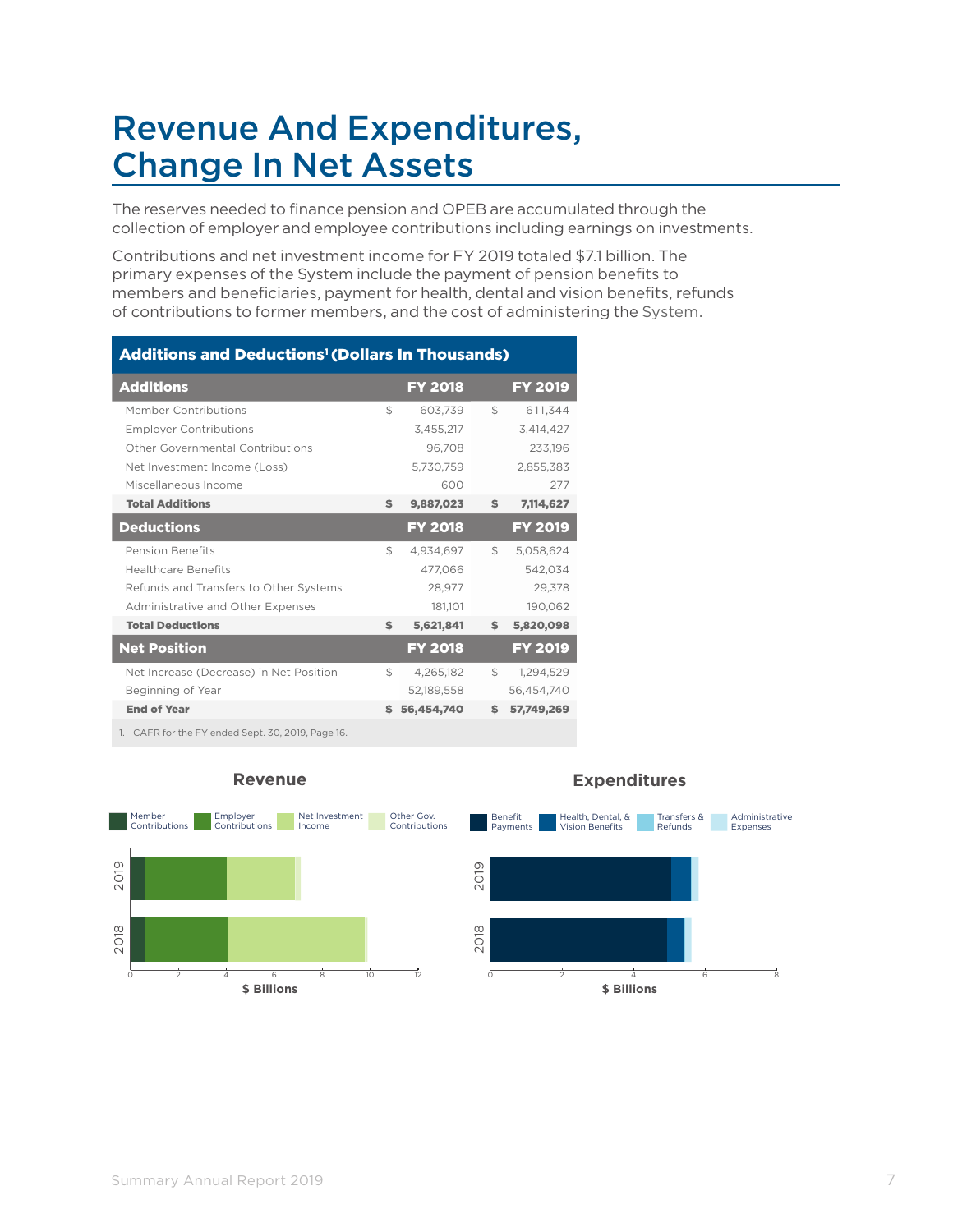### Revenue And Expenditures, Change In Net Assets

The reserves needed to finance pension and OPEB are accumulated through the collection of employer and employee contributions including earnings on investments.

Contributions and net investment income for FY 2019 totaled \$7.1 billion. The primary expenses of the System include the payment of pension benefits to members and beneficiaries, payment for health, dental and vision benefits, refunds of contributions to former members, and the cost of administering the System.

| <b>Additions and Deductions<sup>1</sup> (Dollars In Thousands)</b>                                        |                |                |                |                |
|-----------------------------------------------------------------------------------------------------------|----------------|----------------|----------------|----------------|
| <b>Additions</b>                                                                                          |                | <b>FY 2018</b> |                | <b>FY 2019</b> |
| Member Contributions                                                                                      | $\mathfrak{L}$ | 603,739        | $\mathfrak{L}$ | 611,344        |
| <b>Employer Contributions</b>                                                                             |                | 3,455,217      |                | 3,414,427      |
| Other Governmental Contributions                                                                          |                | 96,708         |                | 233,196        |
| Net Investment Income (Loss)                                                                              |                | 5,730,759      |                | 2,855,383      |
| Miscellaneous Income                                                                                      |                | 600            |                | 277            |
| <b>Total Additions</b>                                                                                    | \$             | 9,887,023      | \$             | 7,114,627      |
| <b>Deductions</b>                                                                                         |                | <b>FY 2018</b> |                | <b>FY 2019</b> |
| <b>Pension Benefits</b>                                                                                   | \$             | 4,934,697      | \$             | 5,058,624      |
| <b>Healthcare Benefits</b>                                                                                |                | 477.066        |                | 542,034        |
| Refunds and Transfers to Other Systems                                                                    |                | 28,977         |                | 29,378         |
| Administrative and Other Expenses                                                                         |                | 181,101        |                | 190,062        |
| <b>Total Deductions</b>                                                                                   | \$             | 5,621,841      | \$             | 5,820,098      |
| <b>Net Position</b>                                                                                       |                | <b>FY 2018</b> |                | <b>FY 2019</b> |
| Net Increase (Decrease) in Net Position                                                                   | \$             | 4,265,182      | \$             | 1,294,529      |
| Beginning of Year                                                                                         |                | 52,189,558     |                | 56,454,740     |
| <b>End of Year</b>                                                                                        |                | 56,454,740     | \$             | 57,749,269     |
| $\alpha$ + $\alpha$ - $\beta$ - $\gamma$ - $\gamma$ - $\beta$ - $\alpha$ - $\alpha$ - $\alpha$ - $\alpha$ |                |                |                |                |

IFR for the FY ended Sept. 30, 2019, Page 1



#### **Revenue**

#### **Expenditures**

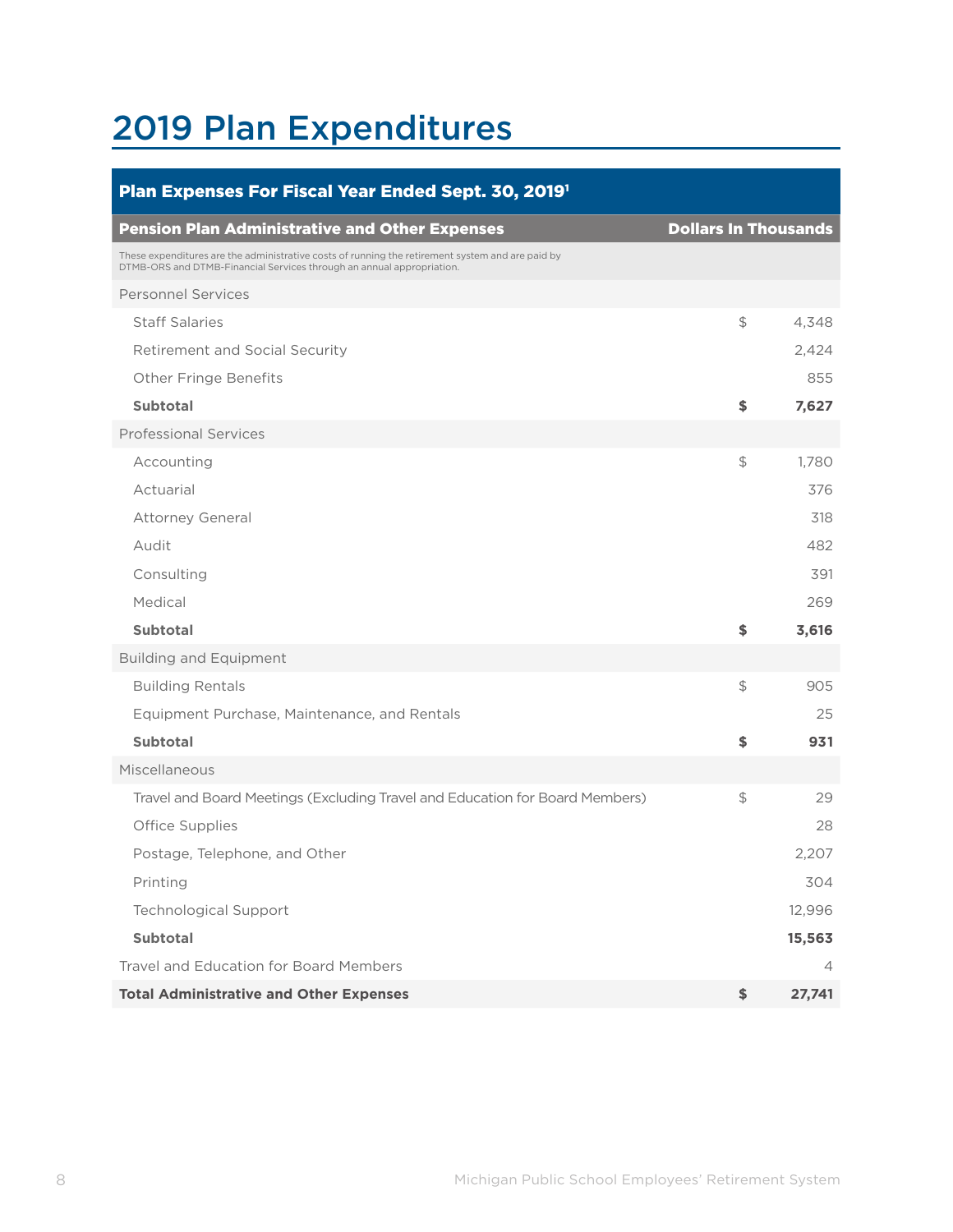## 2019 Plan Expenditures

| Plan Expenses For Fiscal Year Ended Sept. 30, 2019 <sup>1</sup>                                                                                                           |                             |        |
|---------------------------------------------------------------------------------------------------------------------------------------------------------------------------|-----------------------------|--------|
| <b>Pension Plan Administrative and Other Expenses</b>                                                                                                                     | <b>Dollars In Thousands</b> |        |
| These expenditures are the administrative costs of running the retirement system and are paid by<br>DTMB-ORS and DTMB-Financial Services through an annual appropriation. |                             |        |
| <b>Personnel Services</b>                                                                                                                                                 |                             |        |
| <b>Staff Salaries</b>                                                                                                                                                     | \$                          | 4,348  |
| <b>Retirement and Social Security</b>                                                                                                                                     |                             | 2,424  |
| <b>Other Fringe Benefits</b>                                                                                                                                              |                             | 855    |
| <b>Subtotal</b>                                                                                                                                                           | \$                          | 7,627  |
| <b>Professional Services</b>                                                                                                                                              |                             |        |
| Accounting                                                                                                                                                                | \$                          | 1,780  |
| Actuarial                                                                                                                                                                 |                             | 376    |
| <b>Attorney General</b>                                                                                                                                                   |                             | 318    |
| Audit                                                                                                                                                                     |                             | 482    |
| Consulting                                                                                                                                                                |                             | 391    |
| Medical                                                                                                                                                                   |                             | 269    |
| <b>Subtotal</b>                                                                                                                                                           | \$                          | 3,616  |
| <b>Building and Equipment</b>                                                                                                                                             |                             |        |
| <b>Building Rentals</b>                                                                                                                                                   | \$                          | 905    |
| Equipment Purchase, Maintenance, and Rentals                                                                                                                              |                             | 25     |
| <b>Subtotal</b>                                                                                                                                                           | \$                          | 931    |
| Miscellaneous                                                                                                                                                             |                             |        |
| Travel and Board Meetings (Excluding Travel and Education for Board Members)                                                                                              | \$                          | 29     |
| <b>Office Supplies</b>                                                                                                                                                    |                             | 28     |
| Postage, Telephone, and Other                                                                                                                                             |                             | 2,207  |
| Printing                                                                                                                                                                  |                             | 304    |
| <b>Technological Support</b>                                                                                                                                              |                             | 12,996 |
| <b>Subtotal</b>                                                                                                                                                           |                             | 15,563 |
| <b>Travel and Education for Board Members</b>                                                                                                                             |                             | 4      |
| <b>Total Administrative and Other Expenses</b>                                                                                                                            | \$                          | 27,741 |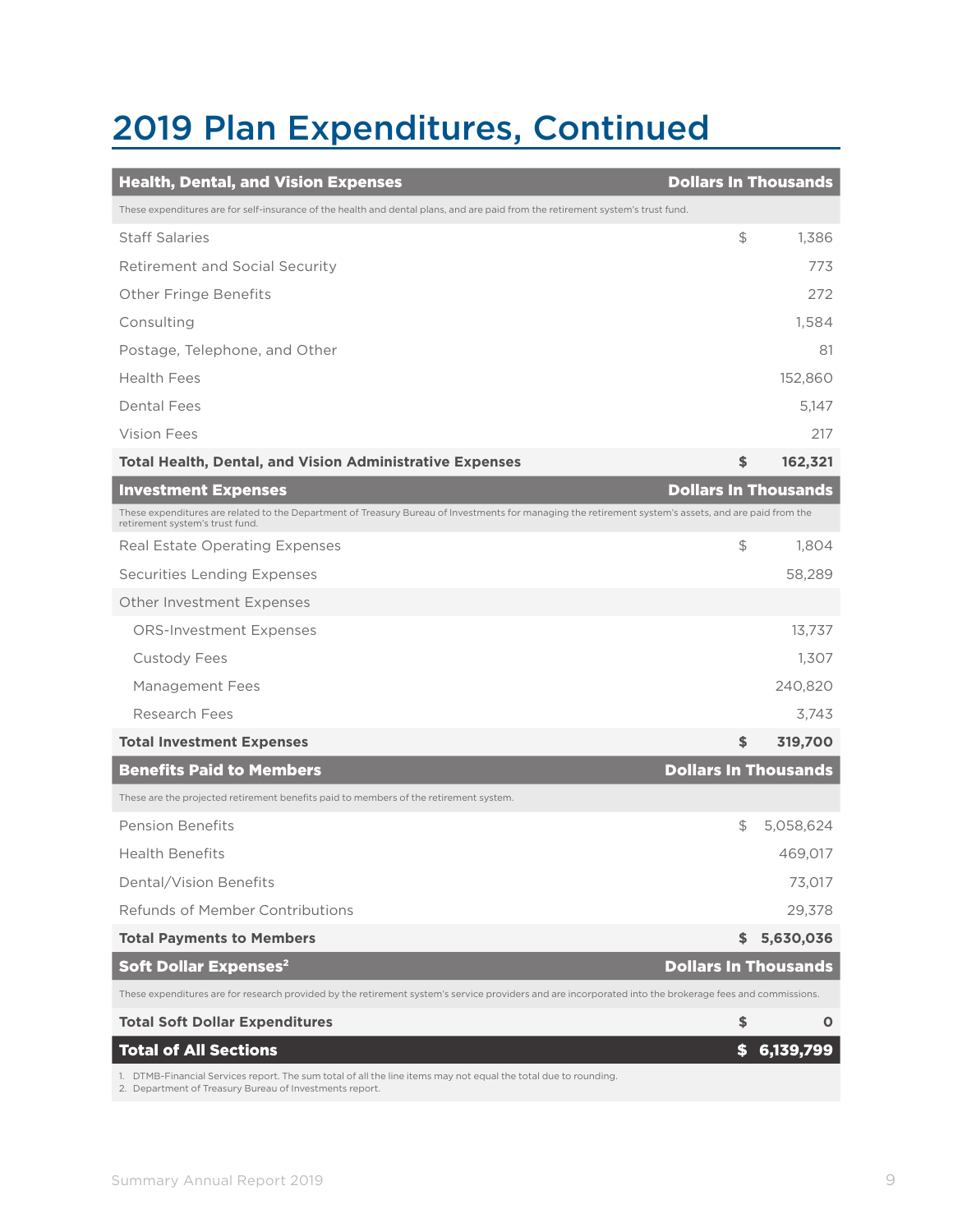### 2019 Plan Expenditures, Continued

| <b>Health, Dental, and Vision Expenses</b>                                                                                                                                               | <b>Dollars In Thousands</b> |             |
|------------------------------------------------------------------------------------------------------------------------------------------------------------------------------------------|-----------------------------|-------------|
| These expenditures are for self-insurance of the health and dental plans, and are paid from the retirement system's trust fund.                                                          |                             |             |
| <b>Staff Salaries</b>                                                                                                                                                                    | \$                          | 1,386       |
| <b>Retirement and Social Security</b>                                                                                                                                                    |                             | 773         |
| <b>Other Fringe Benefits</b>                                                                                                                                                             |                             | 272         |
| Consulting                                                                                                                                                                               |                             | 1.584       |
| Postage, Telephone, and Other                                                                                                                                                            |                             | 81          |
| <b>Health Fees</b>                                                                                                                                                                       |                             | 152,860     |
| <b>Dental Fees</b>                                                                                                                                                                       |                             | 5,147       |
| Vision Fees                                                                                                                                                                              |                             | 217         |
| <b>Total Health, Dental, and Vision Administrative Expenses</b>                                                                                                                          | \$                          | 162,321     |
| <b>Investment Expenses</b>                                                                                                                                                               | <b>Dollars In Thousands</b> |             |
| These expenditures are related to the Department of Treasury Bureau of Investments for managing the retirement system's assets, and are paid from the<br>retirement system's trust fund. |                             |             |
| Real Estate Operating Expenses                                                                                                                                                           | \$                          | 1,804       |
| <b>Securities Lending Expenses</b>                                                                                                                                                       |                             | 58,289      |
| Other Investment Expenses                                                                                                                                                                |                             |             |
| <b>ORS-Investment Expenses</b>                                                                                                                                                           |                             | 13,737      |
| <b>Custody Fees</b>                                                                                                                                                                      |                             | 1,307       |
| Management Fees                                                                                                                                                                          |                             | 240,820     |
| Research Fees                                                                                                                                                                            |                             | 3,743       |
| <b>Total Investment Expenses</b>                                                                                                                                                         | \$                          | 319,700     |
| <b>Benefits Paid to Members</b>                                                                                                                                                          | <b>Dollars In Thousands</b> |             |
| These are the projected retirement benefits paid to members of the retirement system.                                                                                                    |                             |             |
| <b>Pension Benefits</b>                                                                                                                                                                  | \$                          | 5,058,624   |
| <b>Health Benefits</b>                                                                                                                                                                   |                             | 469,017     |
| Dental/Vision Benefits                                                                                                                                                                   |                             | 73,017      |
| Refunds of Member Contributions                                                                                                                                                          |                             | 29,378      |
| <b>Total Payments to Members</b>                                                                                                                                                         | \$                          | 5,630,036   |
| <b>Soft Dollar Expenses<sup>2</sup></b>                                                                                                                                                  | <b>Dollars In Thousands</b> |             |
| These expenditures are for research provided by the retirement system's service providers and are incorporated into the brokerage fees and commissions.                                  |                             |             |
| <b>Total Soft Dollar Expenditures</b>                                                                                                                                                    | \$                          | $\mathbf 0$ |
| <b>Total of All Sections</b>                                                                                                                                                             | \$                          | 6,139,799   |
| 1. DTMB-Financial Services report. The sum total of all the line items may not equal the total due to rounding.                                                                          |                             |             |

2. Department of Treasury Bureau of Investments report.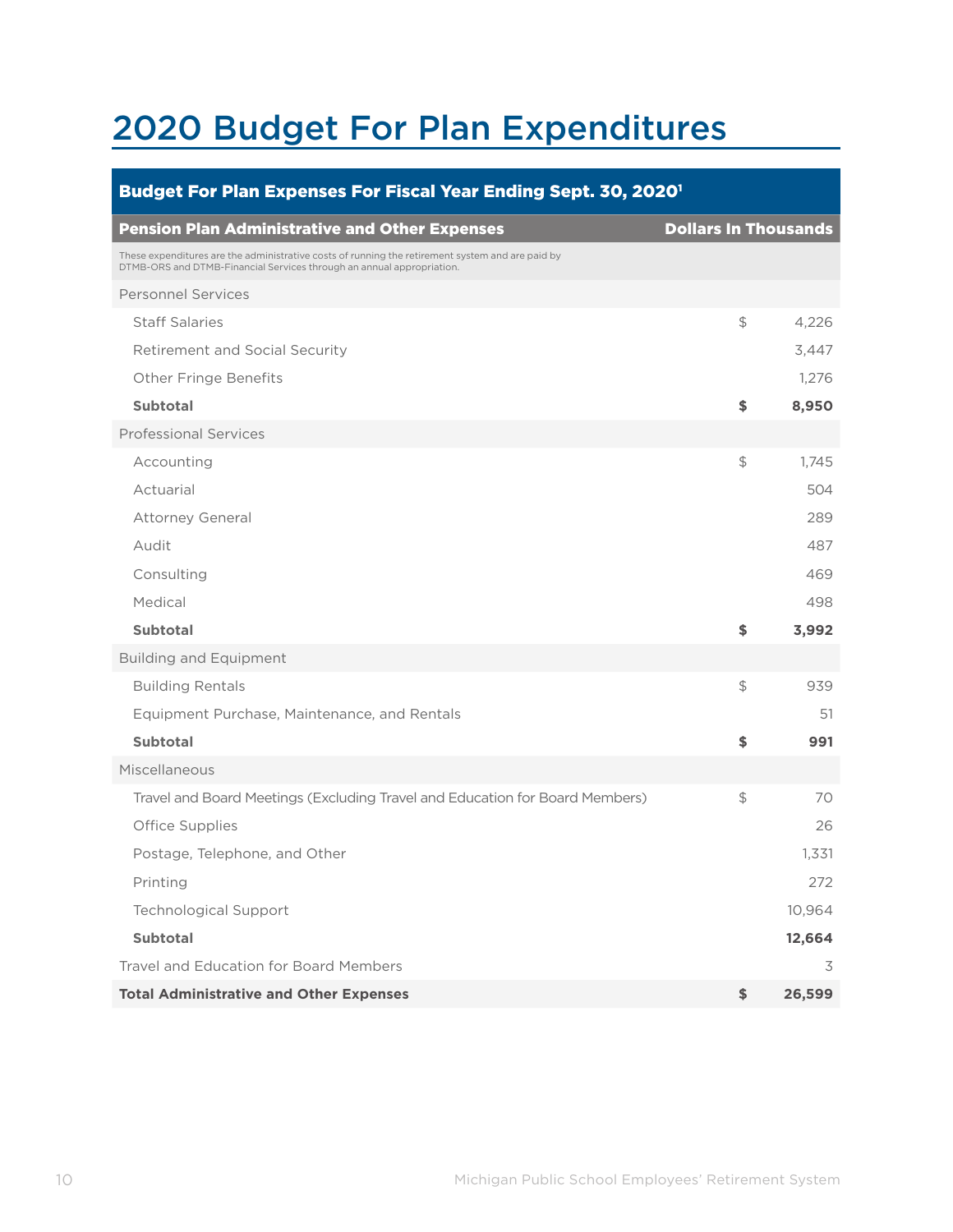## 2020 Budget For Plan Expenditures

| Budget For Plan Expenses For Fiscal Year Ending Sept. 30, 2020 <sup>1</sup>                                                                                               |                             |        |
|---------------------------------------------------------------------------------------------------------------------------------------------------------------------------|-----------------------------|--------|
| <b>Pension Plan Administrative and Other Expenses</b>                                                                                                                     | <b>Dollars In Thousands</b> |        |
| These expenditures are the administrative costs of running the retirement system and are paid by<br>DTMB-ORS and DTMB-Financial Services through an annual appropriation. |                             |        |
| <b>Personnel Services</b>                                                                                                                                                 |                             |        |
| <b>Staff Salaries</b>                                                                                                                                                     | \$                          | 4,226  |
| Retirement and Social Security                                                                                                                                            |                             | 3,447  |
| <b>Other Fringe Benefits</b>                                                                                                                                              |                             | 1,276  |
| <b>Subtotal</b>                                                                                                                                                           | \$                          | 8,950  |
| <b>Professional Services</b>                                                                                                                                              |                             |        |
| Accounting                                                                                                                                                                | \$                          | 1,745  |
| Actuarial                                                                                                                                                                 |                             | 504    |
| <b>Attorney General</b>                                                                                                                                                   |                             | 289    |
| Audit                                                                                                                                                                     |                             | 487    |
| Consulting                                                                                                                                                                |                             | 469    |
| Medical                                                                                                                                                                   |                             | 498    |
| <b>Subtotal</b>                                                                                                                                                           | \$                          | 3,992  |
| <b>Building and Equipment</b>                                                                                                                                             |                             |        |
| <b>Building Rentals</b>                                                                                                                                                   | \$                          | 939    |
| Equipment Purchase, Maintenance, and Rentals                                                                                                                              |                             | 51     |
| <b>Subtotal</b>                                                                                                                                                           | \$                          | 991    |
| Miscellaneous                                                                                                                                                             |                             |        |
| Travel and Board Meetings (Excluding Travel and Education for Board Members)                                                                                              | \$                          | 70     |
| Office Supplies                                                                                                                                                           |                             | 26     |
| Postage, Telephone, and Other                                                                                                                                             |                             | 1,331  |
| Printing                                                                                                                                                                  |                             | 272    |
| <b>Technological Support</b>                                                                                                                                              |                             | 10,964 |
| <b>Subtotal</b>                                                                                                                                                           |                             | 12,664 |
| Travel and Education for Board Members                                                                                                                                    |                             | 3      |
| <b>Total Administrative and Other Expenses</b>                                                                                                                            | \$                          | 26,599 |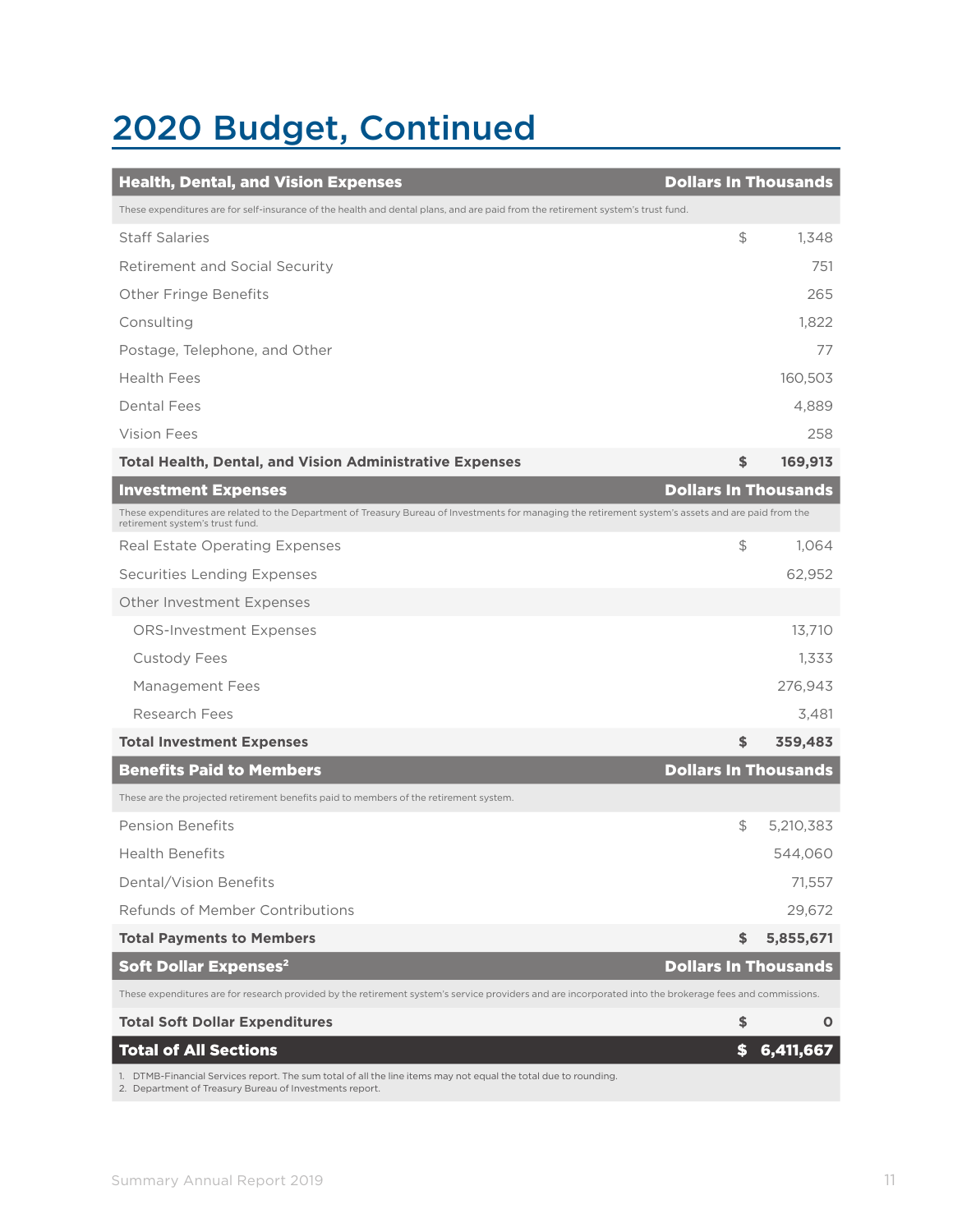## 2020 Budget, Continued

| <b>Health, Dental, and Vision Expenses</b>                                                                                                                                              | <b>Dollars In Thousands</b> |           |
|-----------------------------------------------------------------------------------------------------------------------------------------------------------------------------------------|-----------------------------|-----------|
| These expenditures are for self-insurance of the health and dental plans, and are paid from the retirement system's trust fund.                                                         |                             |           |
| <b>Staff Salaries</b>                                                                                                                                                                   | \$                          | 1,348     |
| Retirement and Social Security                                                                                                                                                          |                             | 751       |
| <b>Other Fringe Benefits</b>                                                                                                                                                            |                             | 265       |
| Consulting                                                                                                                                                                              |                             | 1,822     |
| Postage, Telephone, and Other                                                                                                                                                           |                             | 77        |
| <b>Health Fees</b>                                                                                                                                                                      |                             | 160,503   |
| <b>Dental Fees</b>                                                                                                                                                                      |                             | 4,889     |
| Vision Fees                                                                                                                                                                             |                             | 258       |
| <b>Total Health, Dental, and Vision Administrative Expenses</b>                                                                                                                         | \$                          | 169,913   |
| <b>Investment Expenses</b>                                                                                                                                                              | <b>Dollars In Thousands</b> |           |
| These expenditures are related to the Department of Treasury Bureau of Investments for managing the retirement system's assets and are paid from the<br>retirement system's trust fund. |                             |           |
| Real Estate Operating Expenses                                                                                                                                                          | \$                          | 1,064     |
| <b>Securities Lending Expenses</b>                                                                                                                                                      |                             | 62,952    |
| Other Investment Expenses                                                                                                                                                               |                             |           |
| <b>ORS-Investment Expenses</b>                                                                                                                                                          |                             | 13,710    |
| <b>Custody Fees</b>                                                                                                                                                                     |                             | 1,333     |
| Management Fees                                                                                                                                                                         |                             | 276,943   |
| Research Fees                                                                                                                                                                           |                             | 3,481     |
| <b>Total Investment Expenses</b>                                                                                                                                                        | \$                          | 359,483   |
| <b>Benefits Paid to Members</b>                                                                                                                                                         | <b>Dollars In Thousands</b> |           |
| These are the projected retirement benefits paid to members of the retirement system.                                                                                                   |                             |           |
| <b>Pension Benefits</b>                                                                                                                                                                 | \$                          | 5,210,383 |
| <b>Health Benefits</b>                                                                                                                                                                  |                             | 544,060   |
| Dental/Vision Benefits                                                                                                                                                                  |                             | 71,557    |
| Refunds of Member Contributions                                                                                                                                                         |                             | 29,672    |
| <b>Total Payments to Members</b>                                                                                                                                                        | \$                          | 5,855,671 |
| <b>Soft Dollar Expenses<sup>2</sup></b>                                                                                                                                                 | <b>Dollars In Thousands</b> |           |
| These expenditures are for research provided by the retirement system's service providers and are incorporated into the brokerage fees and commissions.                                 |                             |           |
| <b>Total Soft Dollar Expenditures</b>                                                                                                                                                   | \$                          | O         |
| <b>Total of All Sections</b>                                                                                                                                                            | \$                          | 6,411,667 |
| 1. DTMB-Financial Services report. The sum total of all the line items may not equal the total due to rounding.                                                                         |                             |           |

2. Department of Treasury Bureau of Investments report.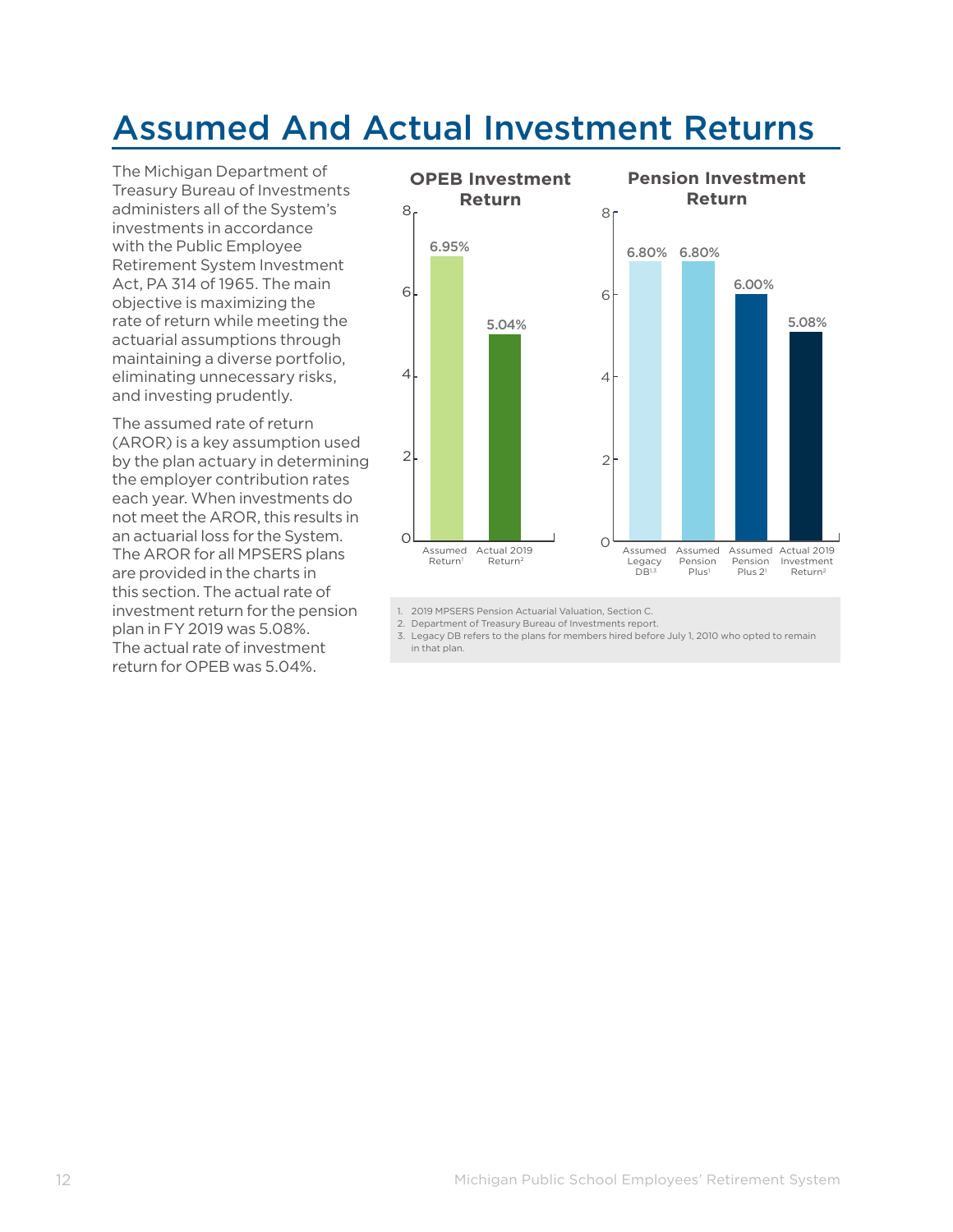### Assumed And Actual Investment Returns

The Michigan Department of Treasury Bureau of Investments administers all of the System's investments in accordance with the Public Employee Retirement System Investment Act, PA 314 of 1965. The main objective is maximizing the rate of return while meeting the actuarial assumptions through maintaining a diverse portfolio, eliminating unnecessary risks, and investing prudently.

The assumed rate of return (AROR) is a key assumption used by the plan actuary in determining the employer contribution rates each year. When investments do not meet the AROR, this results in an actuarial loss for the System. The AROR for all MPSERS plans are provided in the charts in this section. The actual rate of investment return for the pension plan in FY 2019 was 5.08%. The actual rate of investment return for OPEB was 5.04%.



<sup>1.</sup> 2019 MPSERS Pension Actuarial Valuation, Section C.

3. Legacy DB refers to the plans for members hired before July 1, 2010 who opted to remain in that plan.

<sup>2.</sup> Department of Treasury Bureau of Investments report.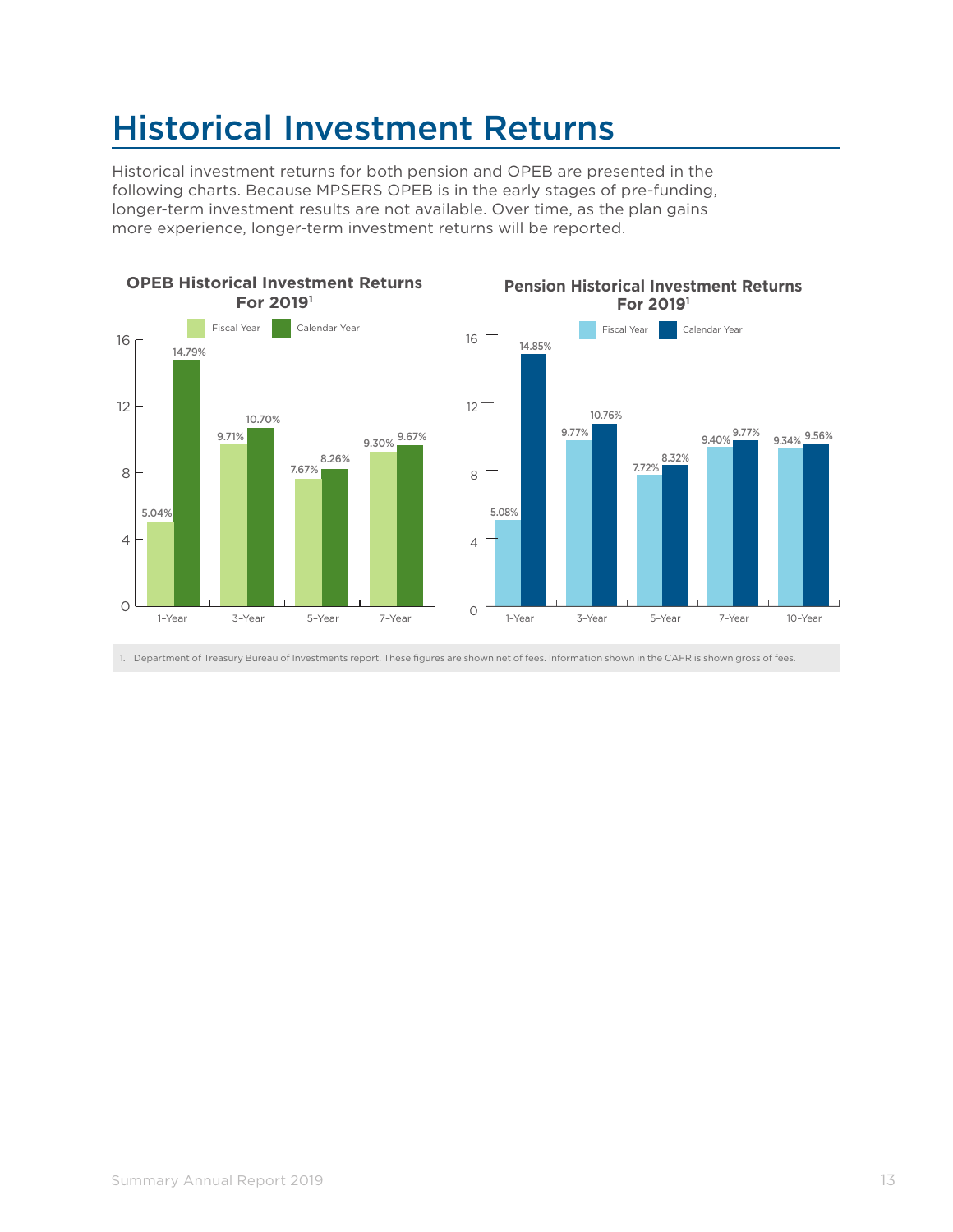### Historical Investment Returns

Historical investment returns for both pension and OPEB are presented in the following charts. Because MPSERS OPEB is in the early stages of pre-funding, longer-term investment results are not available. Over time, as the plan gains more experience, longer-term investment returns will be reported.



1. Department of Treasury Bureau of Investments report. These figures are shown net of fees. Information shown in the CAFR is shown gross of fees.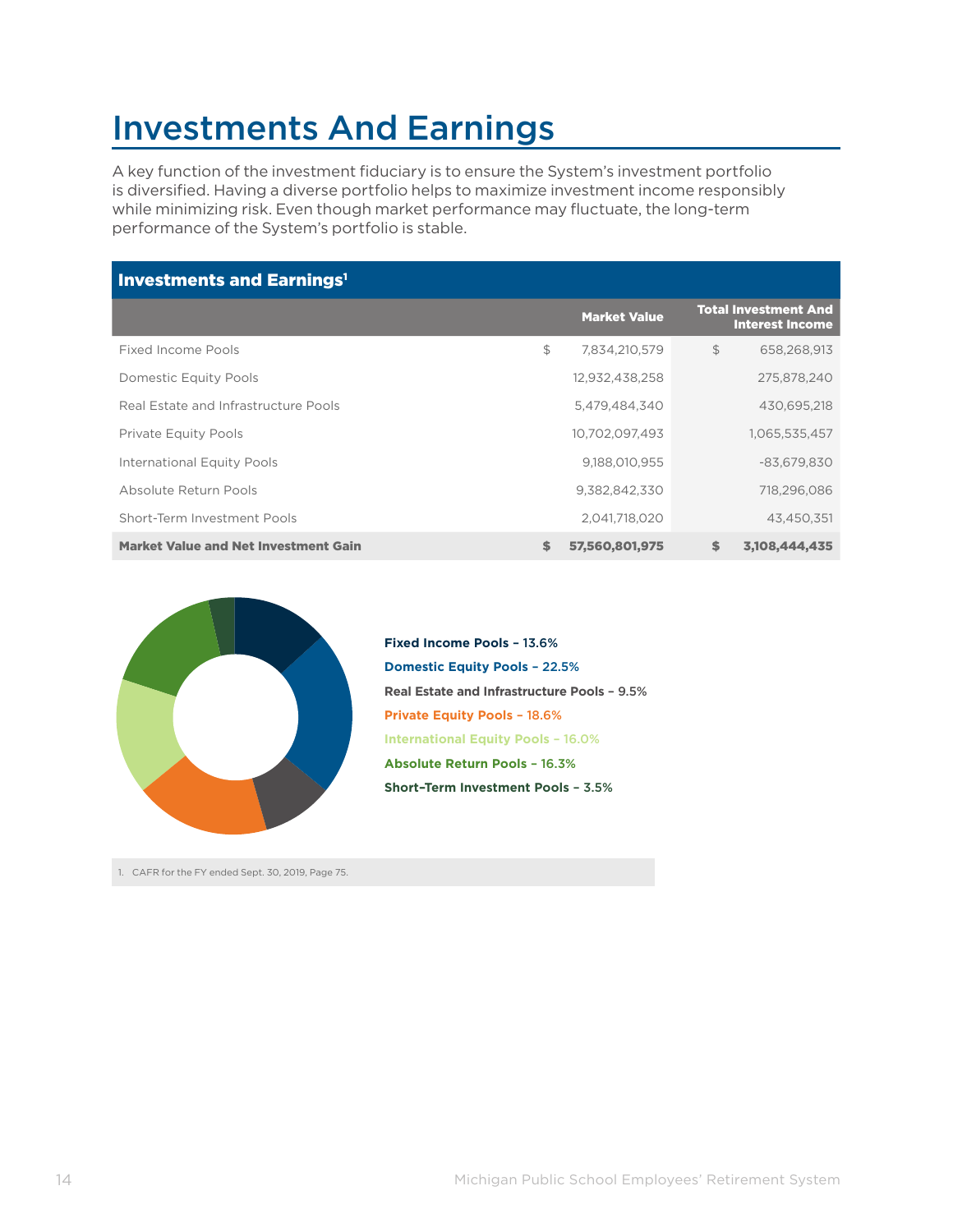### Investments And Earnings

A key function of the investment fiduciary is to ensure the System's investment portfolio is diversified. Having a diverse portfolio helps to maximize investment income responsibly while minimizing risk. Even though market performance may fluctuate, the long-term performance of the System's portfolio is stable.

| <b>Investments and Earnings<sup>1</sup></b> |    |                     |    |                                                       |
|---------------------------------------------|----|---------------------|----|-------------------------------------------------------|
|                                             |    | <b>Market Value</b> |    | <b>Total Investment And</b><br><b>Interest Income</b> |
| Fixed Income Pools                          | \$ | 7.834.210.579       | \$ | 658.268.913                                           |
| Domestic Equity Pools                       |    | 12,932,438,258      |    | 275,878,240                                           |
| Real Estate and Infrastructure Pools        |    | 5,479,484,340       |    | 430,695,218                                           |
| <b>Private Equity Pools</b>                 |    | 10,702,097,493      |    | 1,065,535,457                                         |
| International Equity Pools                  |    | 9,188,010,955       |    | $-83,679,830$                                         |
| Absolute Return Pools                       |    | 9.382.842.330       |    | 718.296.086                                           |
| Short-Term Investment Pools                 |    | 2,041,718,020       |    | 43,450,351                                            |
| <b>Market Value and Net Investment Gain</b> | \$ | 57,560,801,975      | \$ | 3,108,444,435                                         |



**Domestic Equity Pools** – 22.5% **Private Equity Pools** – 18.6% **International Equity Pools** – 16.0% **Real Estate and Infrastructure Pools** – 9.5% **Absolute Return Pools** – 16.3% **Short–Term Investment Pools** – 3.5% **Fixed Income Pools** – 13.6%

1. CAFR for the FY ended Sept. 30, 2019, Page 75.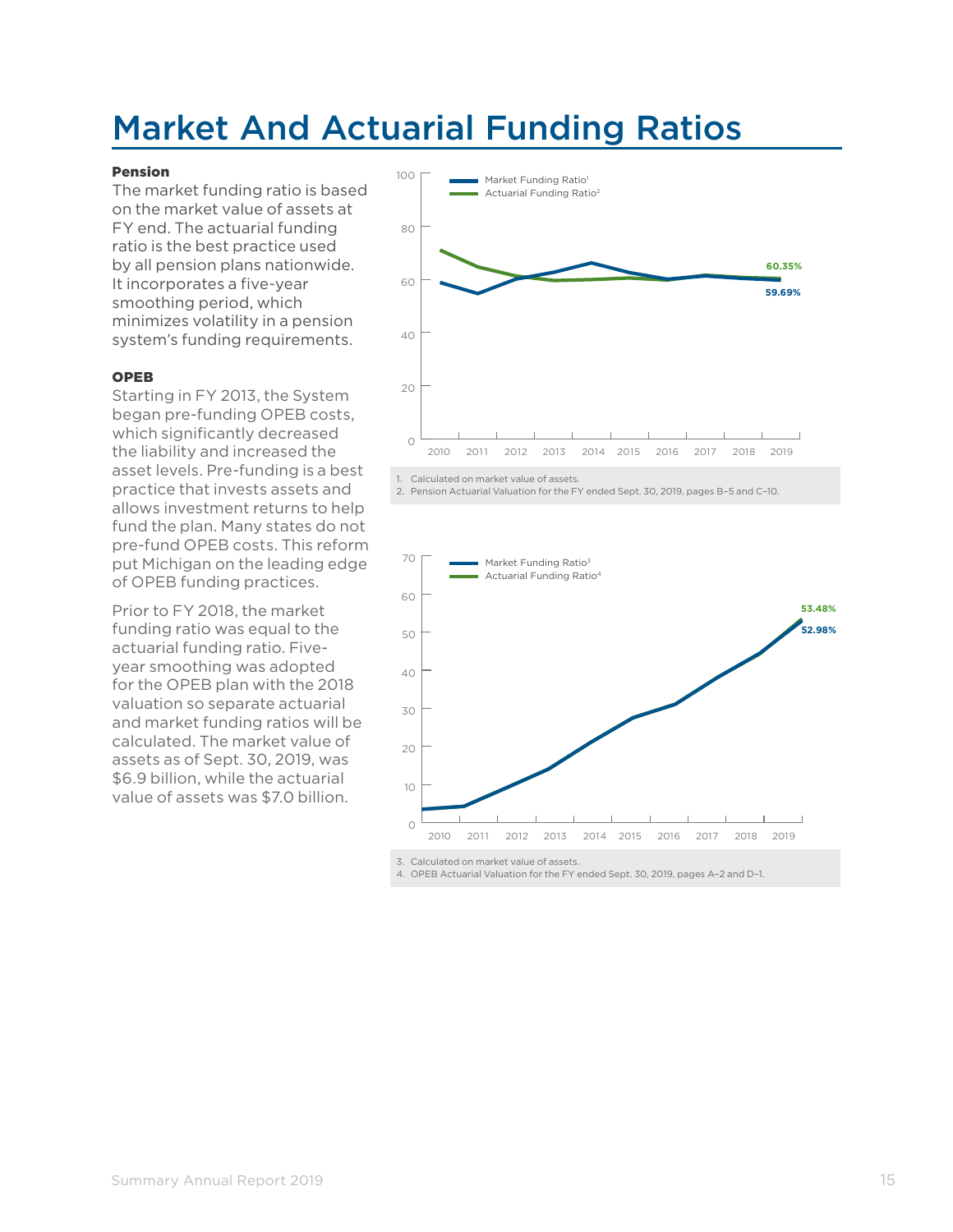### Market And Actuarial Funding Ratios

#### Pension

The market funding ratio is based on the market value of assets at FY end. The actuarial funding ratio is the best practice used by all pension plans nationwide. It incorporates a five-year smoothing period, which minimizes volatility in a pension system's funding requirements.

#### OPEB

Starting in FY 2013, the System began pre-funding OPEB costs, which significantly decreased the liability and increased the asset levels. Pre-funding is a best practice that invests assets and allows investment returns to help fund the plan. Many states do not pre-fund OPEB costs. This reform put Michigan on the leading edge of OPEB funding practices.

Prior to FY 2018, the market funding ratio was equal to the actuarial funding ratio. Fiveyear smoothing was adopted for the OPEB plan with the 2018 valuation so separate actuarial and market funding ratios will be calculated. The market value of assets as of Sept. 30, 2019, was \$6.9 billion, while the actuarial value of assets was \$7.0 billion.



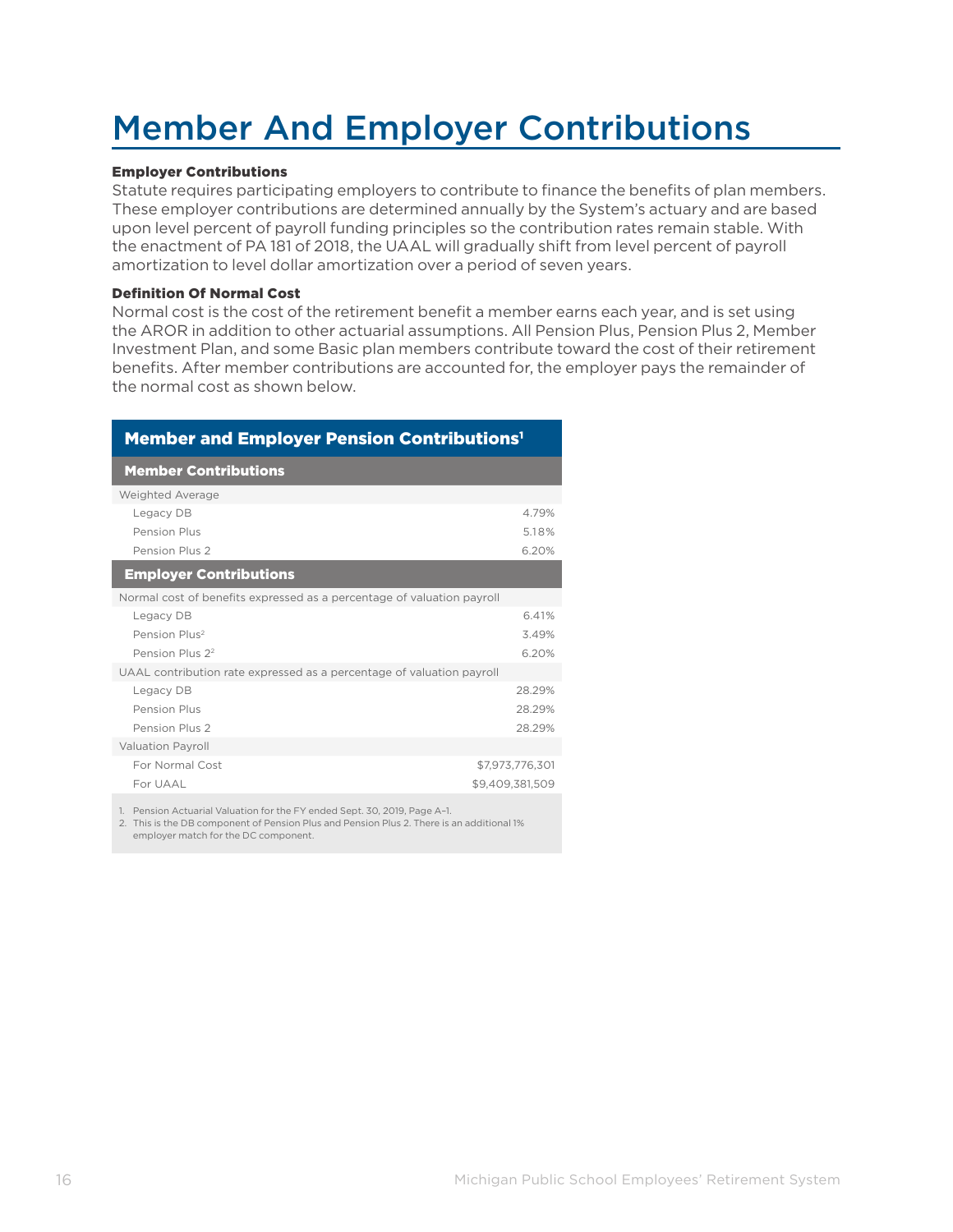## Member And Employer Contributions

#### Employer Contributions

Statute requires participating employers to contribute to finance the benefits of plan members. These employer contributions are determined annually by the System's actuary and are based upon level percent of payroll funding principles so the contribution rates remain stable. With the enactment of PA 181 of 2018, the UAAL will gradually shift from level percent of payroll amortization to level dollar amortization over a period of seven years.

#### Definition Of Normal Cost

Normal cost is the cost of the retirement benefit a member earns each year, and is set using the AROR in addition to other actuarial assumptions. All Pension Plus, Pension Plus 2, Member Investment Plan, and some Basic plan members contribute toward the cost of their retirement benefits. After member contributions are accounted for, the employer pays the remainder of the normal cost as shown below.

| <b>Member and Employer Pension Contributions<sup>1</sup></b>              |                 |  |
|---------------------------------------------------------------------------|-----------------|--|
| <b>Member Contributions</b>                                               |                 |  |
| Weighted Average                                                          |                 |  |
| Legacy DB                                                                 | 4.79%           |  |
| Pension Plus                                                              | 5.18%           |  |
| Pension Plus 2                                                            | 6.20%           |  |
| <b>Employer Contributions</b>                                             |                 |  |
| Normal cost of benefits expressed as a percentage of valuation payroll    |                 |  |
| Legacy DB                                                                 | 6.41%           |  |
| Pension Plus <sup>2</sup>                                                 | 3.49%           |  |
| Pension Plus 22                                                           | 6.20%           |  |
| UAAL contribution rate expressed as a percentage of valuation payroll     |                 |  |
| Legacy DB                                                                 | 28.29%          |  |
| Pension Plus                                                              | 28.29%          |  |
| Pension Plus 2                                                            | 28.29%          |  |
| <b>Valuation Payroll</b>                                                  |                 |  |
| For Normal Cost                                                           | \$7,973,776,301 |  |
| For UAAL                                                                  | \$9.409.381.509 |  |
| 1. Pension Actuarial Valuation for the FY ended Sept. 30, 2019, Page A-1. |                 |  |

2. This is the DB component of Pension Plus and Pension Plus 2. There is an additional 1% employer match for the DC component.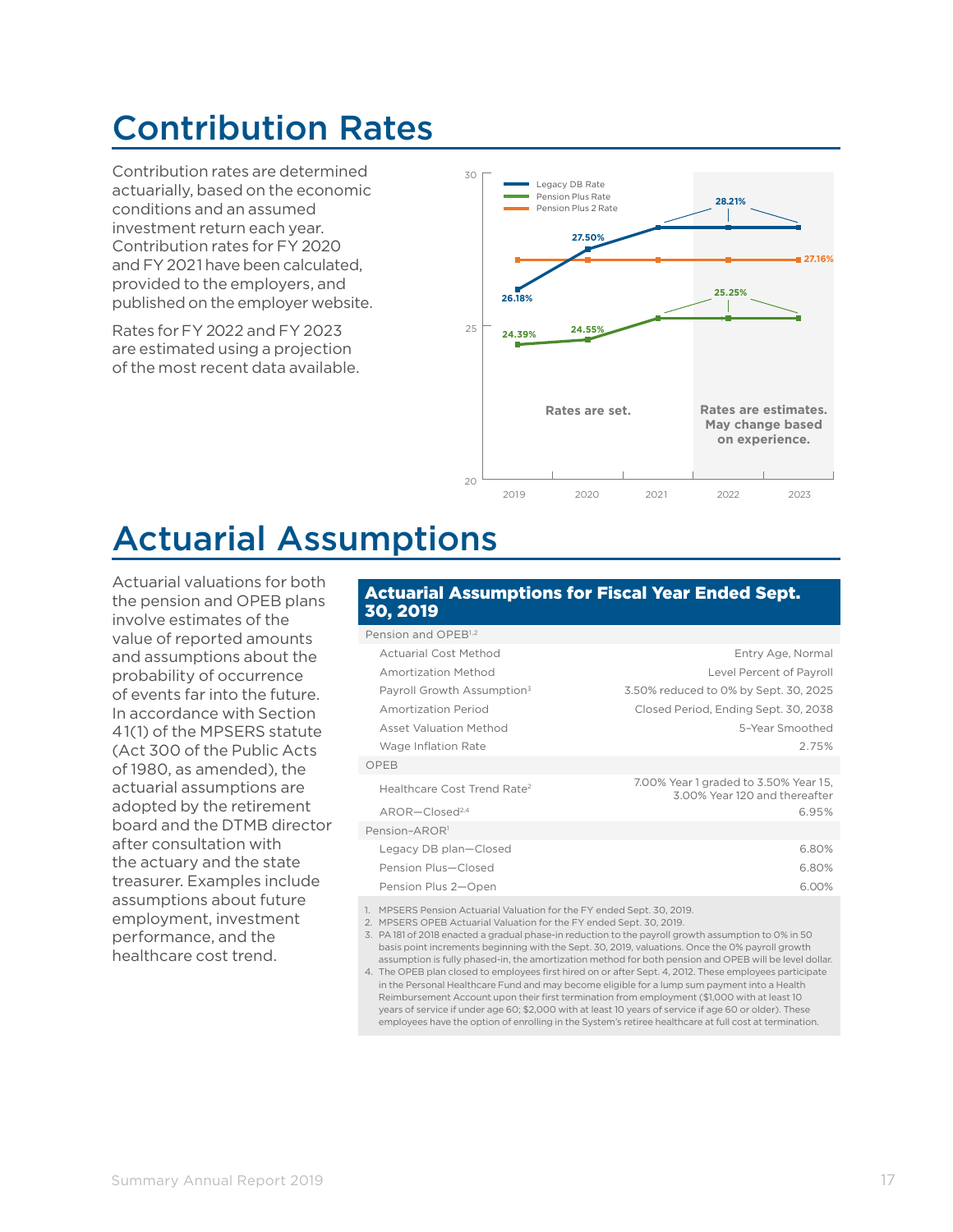### Contribution Rates

Contribution rates are determined actuarially, based on the economic conditions and an assumed investment return each year. Contribution rates for FY 2020 and FY 2021 have been calculated, provided to the employers, and published on the employer website.

Rates forFY 2022 and FY 2023 are estimated using a projection of the most recent data available.



### Actuarial Assumptions

Actuarial valuations for both the pension and OPEB plans involve estimates of the value of reported amounts and assumptions about the probability of occurrence of events far into the future. In accordance with Section 41(1) of the MPSERS statute (Act 300 of the Public Acts of 1980, as amended), the actuarial assumptions are adopted by the retirement board and the DTMB director after consultation with the actuary and the state treasurer. Examples include assumptions about future employment, investment performance, and the healthcare cost trend.

#### Actuarial Assumptions for Fiscal Year Ended Sept. 30, 2019

| Pension and OPEB <sup>1,2</sup>         |                                                                        |
|-----------------------------------------|------------------------------------------------------------------------|
| Actuarial Cost Method                   | Entry Age, Normal                                                      |
| Amortization Method                     | Level Percent of Payroll                                               |
| Payroll Growth Assumption <sup>3</sup>  | 3.50% reduced to 0% by Sept. 30, 2025                                  |
| Amortization Period                     | Closed Period, Ending Sept. 30, 2038                                   |
| <b>Asset Valuation Method</b>           | 5-Year Smoothed                                                        |
| Wage Inflation Rate                     | 2.75%                                                                  |
| OPEB                                    |                                                                        |
| Healthcare Cost Trend Rate <sup>2</sup> | 7.00% Year 1 graded to 3.50% Year 15,<br>3.00% Year 120 and thereafter |
| $AROR$ –Closed <sup>2,4</sup>           | 6.95%                                                                  |
| Pension-AROR <sup>1</sup>               |                                                                        |
| Legacy DB plan-Closed                   | 6.80%                                                                  |
| Pension Plus-Closed                     | 6.80%                                                                  |
| Pension Plus 2-Open                     | 6.00%                                                                  |
|                                         |                                                                        |

1. MPSERS Pension Actuarial Valuation for the FY ended Sept. 30, 2019.

2. MPSERS OPEB Actuarial Valuation for the FY ended Sept. 30, 2019.

3. PA 181 of 2018 enacted a gradual phase-in reduction to the payroll growth assumption to 0% in 50 basis point increments beginning with the Sept. 30, 2019, valuations. Once the 0% payroll growth assumption is fully phased-in, the amortization method for both pension and OPEB will be level dollar.

4. The OPEB plan closed to employees first hired on or after Sept. 4, 2012. These employees participate in the Personal Healthcare Fund and may become eligible for a lump sum payment into a Health Reimbursement Account upon their first termination from employment (\$1,000 with at least 10 years of service if under age 60; \$2,000 with at least 10 years of service if age 60 or older). These employees have the option of enrolling in the System's retiree healthcare at full cost at termination.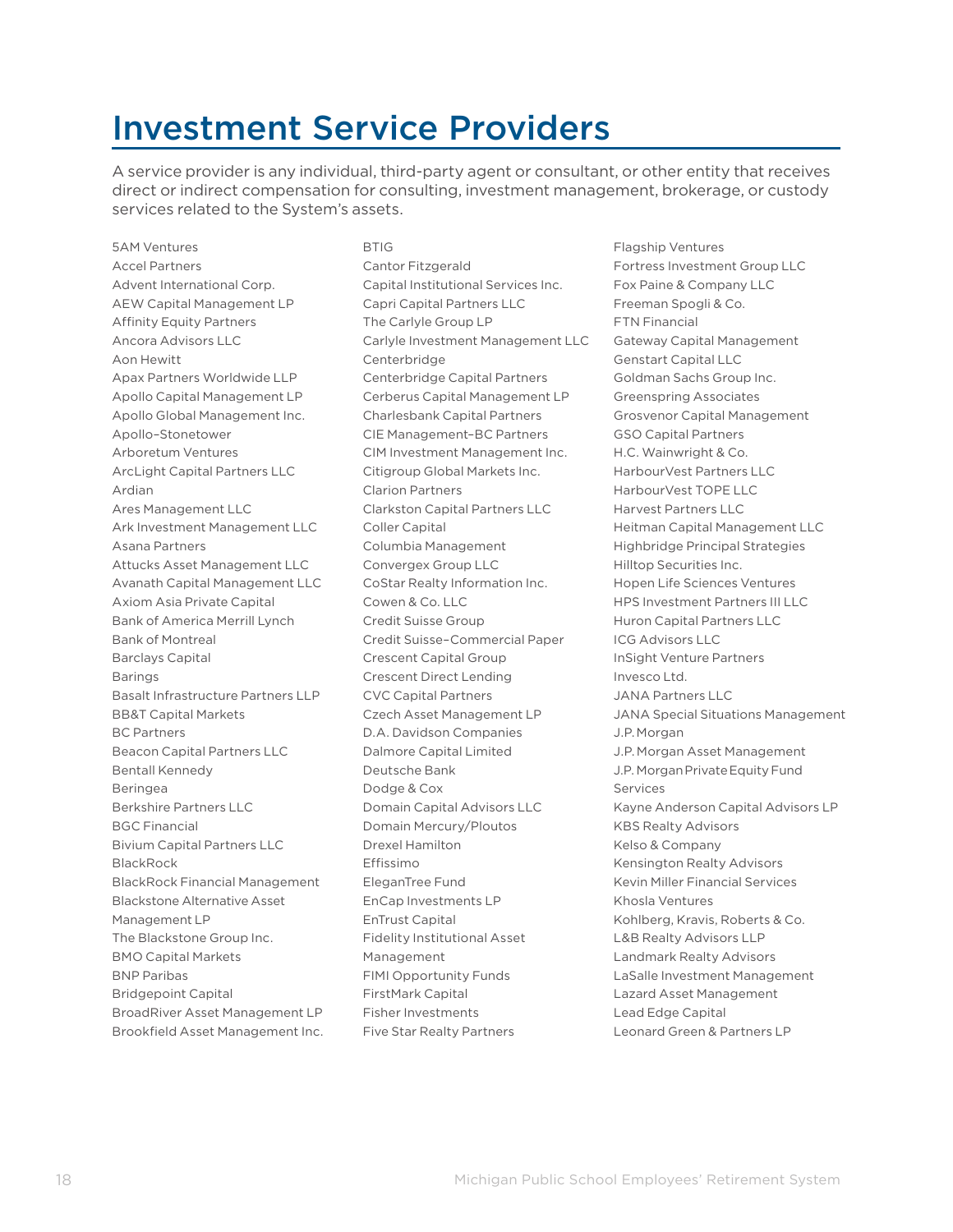### Investment Service Providers

A service provider is any individual, third-party agent or consultant, or other entity that receives direct or indirect compensation for consulting, investment management, brokerage, or custody services related to the System's assets.

5AM Ventures Accel Partners Advent International Corp. AEW Capital Management LP Affinity Equity Partners Ancora Advisors LLC Aon Hewitt Apax Partners Worldwide LLP Apollo Capital Management LP Apollo Global Management Inc. Apollo–Stonetower Arboretum Ventures ArcLight Capital Partners LLC Ardian Ares Management LLC Ark Investment Management LLC Asana Partners Attucks Asset Management LLC Avanath Capital Management LLC Axiom Asia Private Capital Bank of America Merrill Lynch Bank of Montreal Barclays Capital Barings Basalt Infrastructure Partners LLP BB&T Capital Markets BC Partners Beacon Capital Partners LLC Bentall Kennedy Beringea Berkshire Partners LLC BGC Financial Bivium Capital Partners LLC BlackRock BlackRock Financial Management Blackstone Alternative Asset Management LP The Blackstone Group Inc. BMO Capital Markets BNP Paribas Bridgepoint Capital BroadRiver Asset Management LP Brookfield Asset Management Inc. **BTIG** Cantor Fitzgerald Capital Institutional Services Inc. Capri Capital Partners LLC The Carlyle Group LP Carlyle Investment Management LLC Centerbridge Centerbridge Capital Partners Cerberus Capital Management LP Charlesbank Capital Partners CIE Management–BC Partners CIM Investment Management Inc. Citigroup Global Markets Inc. Clarion Partners Clarkston Capital Partners LLC Coller Capital Columbia Management Convergex Group LLC CoStar Realty Information Inc. Cowen & Co. LLC Credit Suisse Group Credit Suisse–Commercial Paper Crescent Capital Group Crescent Direct Lending CVC Capital Partners Czech Asset Management LP D.A. Davidson Companies Dalmore Capital Limited Deutsche Bank Dodge & Cox Domain Capital Advisors LLC Domain Mercury/Ploutos Drexel Hamilton Effissimo EleganTree Fund EnCap Investments LP EnTrust Capital Fidelity Institutional Asset Management FIMI Opportunity Funds FirstMark Capital Fisher Investments Five Star Realty Partners

Flagship Ventures Fortress Investment Group LLC Fox Paine & Company LLC Freeman Spogli & Co. FTN Financial Gateway Capital Management Genstart Capital LLC Goldman Sachs Group Inc. Greenspring Associates Grosvenor Capital Management GSO Capital Partners H.C. Wainwright & Co. HarbourVest Partners LLC HarbourVest TOPE LLC Harvest Partners LLC Heitman Capital Management LLC Highbridge Principal Strategies Hilltop Securities Inc. Hopen Life Sciences Ventures HPS Investment Partners III LLC Huron Capital Partners LLC ICG Advisors LLC InSight Venture Partners Invesco Ltd. JANA Partners LLC JANA Special Situations Management J.P.Morgan J.P. Morgan Asset Management J.P. Morgan Private Equity Fund Services Kayne Anderson Capital Advisors LP KBS Realty Advisors Kelso & Company Kensington Realty Advisors Kevin Miller Financial Services Khosla Ventures Kohlberg, Kravis, Roberts & Co. L&B Realty Advisors LLP Landmark Realty Advisors LaSalle Investment Management Lazard Asset Management Lead Edge Capital Leonard Green & Partners LP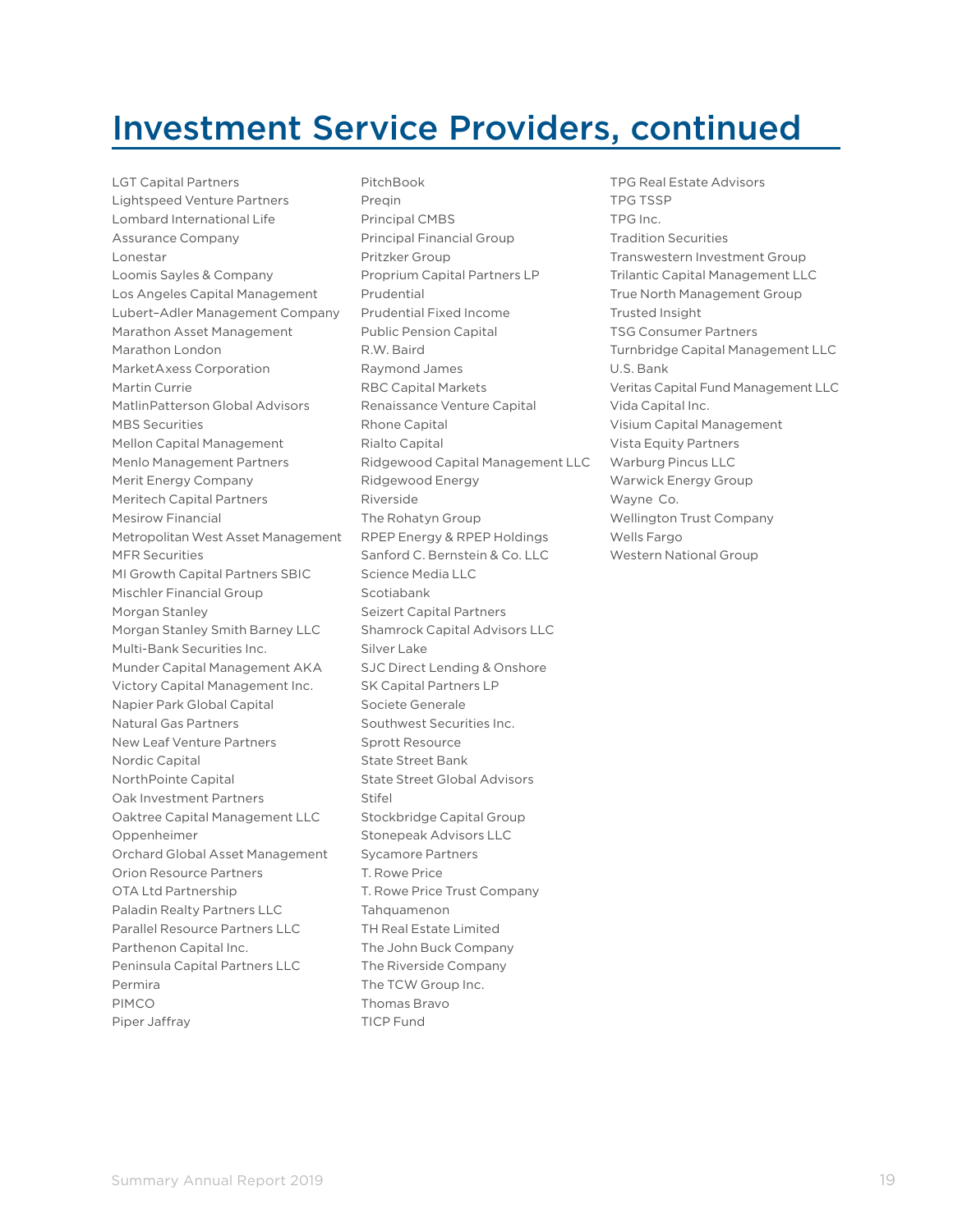### Investment Service Providers, continued

LGT Capital Partners Lightspeed Venture Partners Lombard International Life Assurance Company Lonestar Loomis Sayles & Company Los Angeles Capital Management Lubert–Adler Management Company Marathon Asset Management Marathon London MarketAxess Corporation Martin Currie MatlinPatterson Global Advisors MBS Securities Mellon Capital Management Menlo Management Partners Merit Energy Company Meritech Capital Partners Mesirow Financial Metropolitan West Asset Management MFR Securities MI Growth Capital Partners SBIC Mischler Financial Group Morgan Stanley Morgan Stanley Smith Barney LLC Multi-Bank Securities Inc. Munder Capital Management AKA Victory Capital Management Inc. Napier Park Global Capital Natural Gas Partners New Leaf Venture Partners Nordic Capital NorthPointe Capital Oak Investment Partners Oaktree Capital Management LLC Oppenheimer Orchard Global Asset Management Orion Resource Partners OTA Ltd Partnership Paladin Realty Partners LLC Parallel Resource Partners LLC Parthenon Capital Inc. Peninsula Capital Partners LLC Permira PIMCO Piper Jaffray

PitchBook Pregin Principal CMBS Principal Financial Group Pritzker Group Proprium Capital Partners LP Prudential Prudential Fixed Income Public Pension Capital R.W. Baird Raymond James RBC Capital Markets Renaissance Venture Capital Rhone Capital Rialto Capital Ridgewood Capital Management LLC Ridgewood Energy Riverside The Rohatyn Group RPEP Energy & RPEP Holdings Sanford C. Bernstein & Co. LLC Science Media LLC Scotiabank Seizert Capital Partners Shamrock Capital Advisors LLC Silver Lake SJC Direct Lending & Onshore SK Capital Partners LP Societe Generale Southwest Securities Inc. Sprott Resource State Street Bank State Street Global Advisors Stifel Stockbridge Capital Group Stonepeak Advisors LLC Sycamore Partners T. Rowe Price T. Rowe Price Trust Company **Tahquamenon** TH Real Estate Limited The John Buck Company The Riverside Company The TCW Group Inc. Thomas Bravo TICP Fund

TPG Real Estate Advisors TPG TSSP TPG Inc. Tradition Securities Transwestern Investment Group Trilantic Capital Management LLC True North Management Group Trusted Insight TSG Consumer Partners Turnbridge Capital Management LLC U.S. Bank Veritas Capital Fund Management LLC Vida Capital Inc. Visium Capital Management Vista Equity Partners Warburg Pincus LLC Warwick Energy Group Wayne Co. Wellington Trust Company Wells Fargo Western National Group